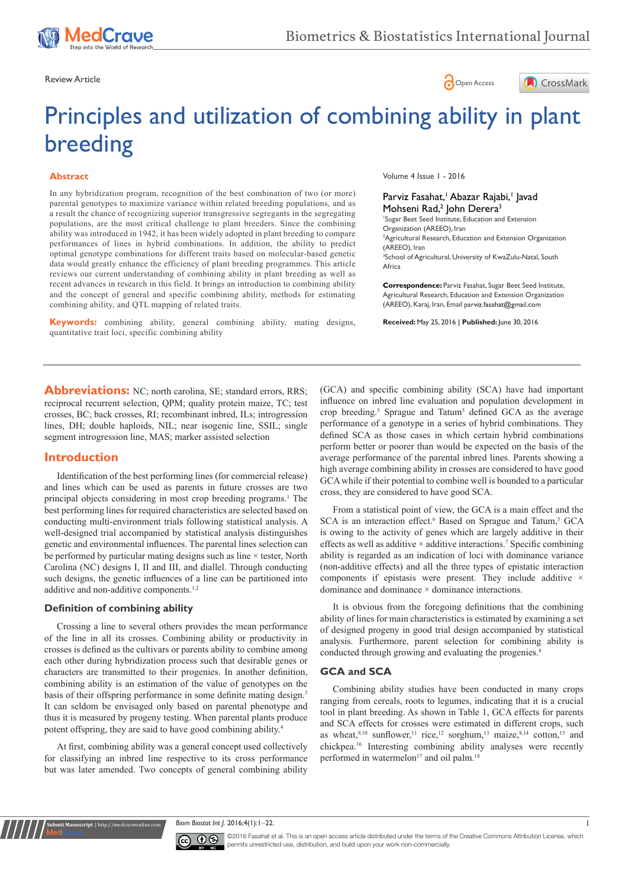





# Principles and utilization of combining ability in plant breeding

#### **Abstract**

In any hybridization program, recognition of the best combination of two (or more) parental genotypes to maximize variance within related breeding populations, and as a result the chance of recognizing superior transgressive segregants in the segregating populations, are the most critical challenge to plant breeders. Since the combining ability was introduced in 1942, it has been widely adopted in plant breeding to compare performances of lines in hybrid combinations. In addition, the ability to predict optimal genotype combinations for different traits based on molecular-based genetic data would greatly enhance the efficiency of plant breeding programmes. This article reviews our current understanding of combining ability in plant breeding as well as recent advances in research in this field. It brings an introduction to combining ability and the concept of general and specific combining ability, methods for estimating combining ability, and QTL mapping of related traits.

**Keywords:** combining ability, general combining ability, mating designs, quantitative trait loci, specific combining ability

Volume 4 Issue 1 - 2016

Parviz Fasahat, Abazar Rajabi, Iavad Mohseni Rad,<sup>2</sup> John Derera<sup>3</sup> 1 Sugar Beet Seed Institute, Education and Extension Organization (AREEO), Iran 2 Agricultural Research, Education and Extension Organization (AREEO), Iran

<sup>3</sup>School of Agricultural, University of KwaZulu-Natal, South Africa

**Correspondence:** Parviz Fasahat, Sugar Beet Seed Institute, Agricultural Research, Education and Extension Organization (AREEO), Karaj, Iran, Email parviz.fasahat@gmail.com

**Received:** May 25, 2016 | **Published:** June 30, 2016

**Abbreviations:** NC; north carolina, SE; standard errors, RRS; reciprocal recurrent selection, QPM; quality protein maize, TC; test crosses, BC; back crosses, RI; recombinant inbred, ILs; introgression lines, DH; double haploids, NIL; near isogenic line, SSIL; single segment introgression line, MAS; marker assisted selection

# **Introduction**

Identification of the best performing lines (for commercial release) and lines which can be used as parents in future crosses are two principal objects considering in most crop breeding programs.<sup>1</sup> The best performing lines for required characteristics are selected based on conducting multi-environment trials following statistical analysis. A well-designed trial accompanied by statistical analysis distinguishes genetic and environmental influences. The parental lines selection can be performed by particular mating designs such as line × tester, North Carolina (NC) designs I, II and III, and diallel. Through conducting such designs, the genetic influences of a line can be partitioned into additive and non-additive components.<sup>1,2</sup>

# **Definition of combining ability**

**Rubmit Manuscript** | http://medcrave

Crossing a line to several others provides the mean performance of the line in all its crosses. Combining ability or productivity in crosses is defined as the cultivars or parents ability to combine among each other during hybridization process such that desirable genes or characters are transmitted to their progenies. In another definition, combining ability is an estimation of the value of genotypes on the basis of their offspring performance in some definite mating design.<sup>3</sup> It can seldom be envisaged only based on parental phenotype and thus it is measured by progeny testing. When parental plants produce potent offspring, they are said to have good combining ability.<sup>4</sup>

At first, combining ability was a general concept used collectively for classifying an inbred line respective to its cross performance but was later amended. Two concepts of general combining ability

(GCA) and specific combining ability (SCA) have had important influence on inbred line evaluation and population development in crop breeding.<sup>5</sup> Sprague and Tatum<sup>5</sup> defined GCA as the average performance of a genotype in a series of hybrid combinations. They defined SCA as those cases in which certain hybrid combinations perform better or poorer than would be expected on the basis of the average performance of the parental inbred lines. Parents showing a high average combining ability in crosses are considered to have good GCA while if their potential to combine well is bounded to a particular cross, they are considered to have good SCA.

From a statistical point of view, the GCA is a main effect and the SCA is an interaction effect.<sup>6</sup> Based on Sprague and Tatum,<sup>5</sup> GCA is owing to the activity of genes which are largely additive in their effects as well as additive  $\times$  additive interactions.<sup>7</sup> Specific combining ability is regarded as an indication of loci with dominance variance (non-additive effects) and all the three types of epistatic interaction components if epistasis were present. They include additive  $\times$ dominance and dominance  $\times$  dominance interactions.

It is obvious from the foregoing definitions that the combining ability of lines for main characteristics is estimated by examining a set of designed progeny in good trial design accompanied by statistical analysis. Furthermore, parent selection for combining ability is conducted through growing and evaluating the progenies.<sup>8</sup>

# **GCA and SCA**

Combining ability studies have been conducted in many crops ranging from cereals, roots to legumes, indicating that it is a crucial tool in plant breeding. As shown in Table 1, GCA effects for parents and SCA effects for crosses were estimated in different crops, such as wheat,  $9,10$  sunflower,  $11$  rice,  $12$  sorghum,  $13$  maize,  $8,14$  cotton,  $15$  and chickpea.16 Interesting combining ability analyses were recently performed in watermelon<sup>17</sup> and oil palm.<sup>18</sup>

*Biom Biostat Int |*. 2016;4(1):1–22.



©2016 Fasahat et al. This is an open access article distributed under the terms of the [Creative Commons Attribution License,](https://creativecommons.org/licenses/by-nc/4.0/) which permits unrestricted use, distribution, and build upon your work non-commercially.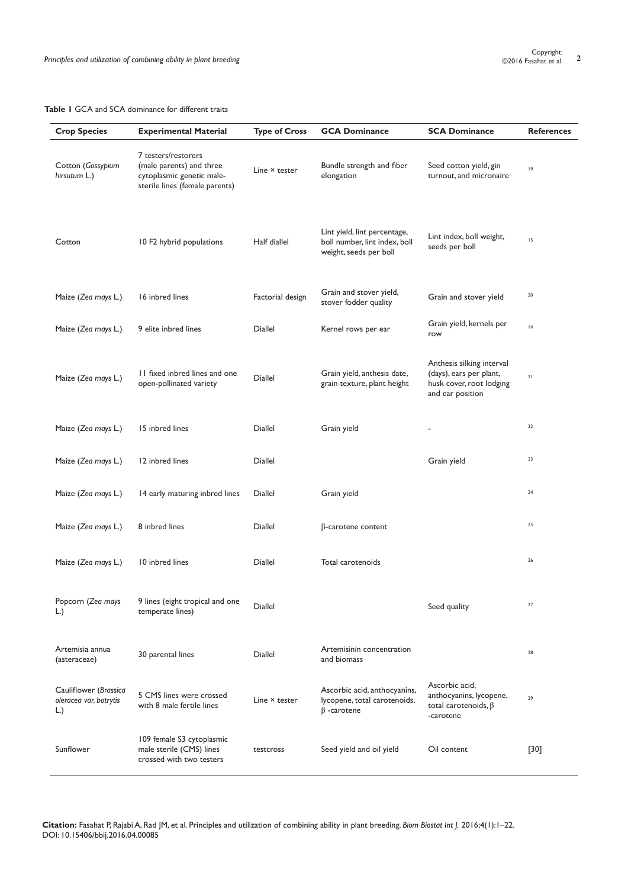| <b>Crop Species</b>                                    | <b>Experimental Material</b>                                                                                   | <b>Type of Cross</b> | <b>GCA Dominance</b>                                                                    | <b>SCA Dominance</b>                                                                                 | <b>References</b> |
|--------------------------------------------------------|----------------------------------------------------------------------------------------------------------------|----------------------|-----------------------------------------------------------------------------------------|------------------------------------------------------------------------------------------------------|-------------------|
| Cotton (Gossypium<br>hirsutum L.)                      | 7 testers/restorers<br>(male parents) and three<br>cytoplasmic genetic male-<br>sterile lines (female parents) | Line × tester        | Bundle strength and fiber<br>elongation                                                 | Seed cotton yield, gin<br>turnout, and micronaire                                                    | 9                 |
| Cotton                                                 | 10 F2 hybrid populations                                                                                       | Half diallel         | Lint yield, lint percentage,<br>boll number, lint index, boll<br>weight, seeds per boll | Lint index, boll weight,<br>seeds per boll                                                           | 15                |
| Maize (Zea mays L.)                                    | 16 inbred lines                                                                                                | Factorial design     | Grain and stover yield,<br>stover fodder quality                                        | Grain and stover yield                                                                               | 20                |
| Maize (Zea mays L.)                                    | 9 elite inbred lines                                                                                           | Diallel              | Kernel rows per ear                                                                     | Grain yield, kernels per<br>row                                                                      | 4                 |
| Maize (Zea mays L.)                                    | 11 fixed inbred lines and one<br>open-pollinated variety                                                       | Diallel              | Grain yield, anthesis date,<br>grain texture, plant height                              | Anthesis silking interval<br>(days), ears per plant,<br>husk cover, root lodging<br>and ear position | 21                |
| Maize (Zea mays L.)                                    | 15 inbred lines                                                                                                | Diallel              | Grain yield                                                                             |                                                                                                      | 22                |
| Maize (Zea mays L.)                                    | 12 inbred lines                                                                                                | Diallel              |                                                                                         | Grain yield                                                                                          | 23                |
| Maize (Zea mays L.)                                    | 14 early maturing inbred lines                                                                                 | Diallel              | Grain yield                                                                             |                                                                                                      | 24                |
| Maize (Zea mays L.)                                    | 8 inbred lines                                                                                                 | Diallel              | $\beta$ -carotene content                                                               |                                                                                                      | 25                |
| Maize (Zea mays L.)                                    | 10 inbred lines                                                                                                | Diallel              | Total carotenoids                                                                       |                                                                                                      | 26                |
| Popcorn (Zea mays<br>$\lfloor . \rfloor$               | 9 lines (eight tropical and one<br>temperate lines)                                                            | Diallel              |                                                                                         | Seed quality                                                                                         | $27$              |
| Artemisia annua<br>(asteraceae)                        | 30 parental lines                                                                                              | Diallel              | Artemisinin concentration<br>and biomass                                                |                                                                                                      | 28                |
| Cauliflower (Brassica<br>oleracea var. botrytis<br>L.) | 5 CMS lines were crossed<br>with 8 male fertile lines                                                          | Line × tester        | Ascorbic acid, anthocyanins,<br>lycopene, total carotenoids,<br>$\beta$ -carotene       | Ascorbic acid,<br>anthocyanins, lycopene,<br>total carotenoids, $\beta$<br>-carotene                 | 29                |
| Sunflower                                              | 109 female S3 cytoplasmic<br>male sterile (CMS) lines<br>crossed with two testers                              | testcross            | Seed yield and oil yield                                                                | Oil content                                                                                          | $[30]$            |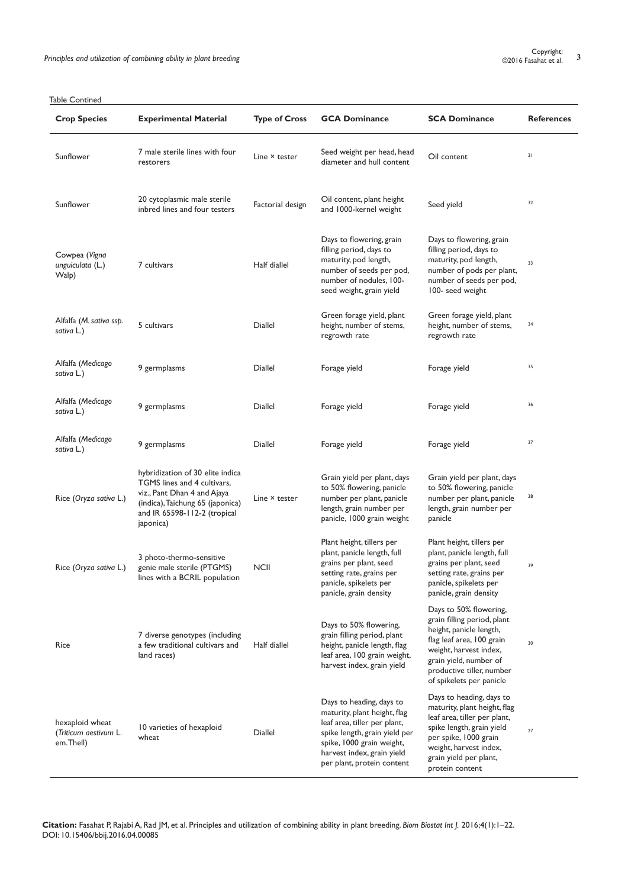| <b>Crop Species</b>                                   | <b>Experimental Material</b>                                                                                                                                                    | <b>Type of Cross</b> | <b>GCA Dominance</b>                                                                                                                                                                                               | <b>SCA Dominance</b>                                                                                                                                                                                                       | <b>References</b> |
|-------------------------------------------------------|---------------------------------------------------------------------------------------------------------------------------------------------------------------------------------|----------------------|--------------------------------------------------------------------------------------------------------------------------------------------------------------------------------------------------------------------|----------------------------------------------------------------------------------------------------------------------------------------------------------------------------------------------------------------------------|-------------------|
| Sunflower                                             | 7 male sterile lines with four<br>restorers                                                                                                                                     | Line × tester        | Seed weight per head, head<br>diameter and hull content                                                                                                                                                            | Oil content                                                                                                                                                                                                                | 31                |
| Sunflower                                             | 20 cytoplasmic male sterile<br>inbred lines and four testers                                                                                                                    | Factorial design     | Oil content, plant height<br>and 1000-kernel weight                                                                                                                                                                | Seed yield                                                                                                                                                                                                                 | 32                |
| Cowpea (Vigna<br>unguiculata (L.)<br>Walp)            | 7 cultivars                                                                                                                                                                     | Half diallel         | Days to flowering, grain<br>filling period, days to<br>maturity, pod length,<br>number of seeds per pod,<br>number of nodules, 100-<br>seed weight, grain yield                                                    | Days to flowering, grain<br>filling period, days to<br>maturity, pod length,<br>number of pods per plant,<br>number of seeds per pod,<br>100- seed weight                                                                  | 33                |
| Alfalfa (M. sativa ssp.<br>sativa L.)                 | 5 cultivars                                                                                                                                                                     | <b>Diallel</b>       | Green forage yield, plant<br>height, number of stems,<br>regrowth rate                                                                                                                                             | Green forage yield, plant<br>height, number of stems,<br>regrowth rate                                                                                                                                                     | 34                |
| Alfalfa (Medicago<br>sativa L.)                       | 9 germplasms                                                                                                                                                                    | Diallel              | Forage yield                                                                                                                                                                                                       | Forage yield                                                                                                                                                                                                               | 35                |
| Alfalfa (Medicago<br>sativa L.)                       | 9 germplasms                                                                                                                                                                    | Diallel              | Forage yield                                                                                                                                                                                                       | Forage yield                                                                                                                                                                                                               | 36                |
| Alfalfa (Medicago<br>sativa L.)                       | 9 germplasms                                                                                                                                                                    | Diallel              | Forage yield                                                                                                                                                                                                       | Forage yield                                                                                                                                                                                                               | 37                |
| Rice (Oryza sativa L.)                                | hybridization of 30 elite indica<br>TGMS lines and 4 cultivars,<br>viz., Pant Dhan 4 and Ajaya<br>(indica), Taichung 65 (japonica)<br>and IR 65598-112-2 (tropical<br>japonica) | Line × tester        | Grain yield per plant, days<br>to 50% flowering, panicle<br>number per plant, panicle<br>length, grain number per<br>panicle, 1000 grain weight                                                                    | Grain yield per plant, days<br>to 50% flowering, panicle<br>number per plant, panicle<br>length, grain number per<br>panicle                                                                                               | 38                |
| Rice (Oryza sativa L.)                                | 3 photo-thermo-sensitive<br>genie male sterile (PTGMS)<br>lines with a BCRIL population                                                                                         | <b>NCII</b>          | Plant height, tillers per<br>plant, panicle length, full<br>grains per plant, seed<br>setting rate, grains per<br>panicle, spikelets per<br>panicle, grain density                                                 | Plant height, tillers per<br>plant, panicle length, full<br>grains per plant, seed<br>setting rate, grains per<br>panicle, spikelets per<br>panicle, grain density                                                         | 39                |
| Rice                                                  | 7 diverse genotypes (including<br>a few traditional cultivars and<br>land races)                                                                                                | Half diallel         | Days to 50% flowering,<br>grain filling period, plant<br>height, panicle length, flag<br>leaf area, 100 grain weight,<br>harvest index, grain yield                                                                | Days to 50% flowering,<br>grain filling period, plant<br>height, panicle length,<br>flag leaf area, 100 grain<br>weight, harvest index,<br>grain yield, number of<br>productive tiller, number<br>of spikelets per panicle | 30                |
| hexaploid wheat<br>(Triticum aestivum L.<br>em.Thell) | 10 varieties of hexaploid<br>wheat                                                                                                                                              | Diallel              | Days to heading, days to<br>maturity, plant height, flag<br>leaf area, tiller per plant,<br>spike length, grain yield per<br>spike, 1000 grain weight,<br>harvest index, grain yield<br>per plant, protein content | Days to heading, days to<br>maturity, plant height, flag<br>leaf area, tiller per plant,<br>spike length, grain yield<br>per spike, 1000 grain<br>weight, harvest index,<br>grain yield per plant,<br>protein content      | 27                |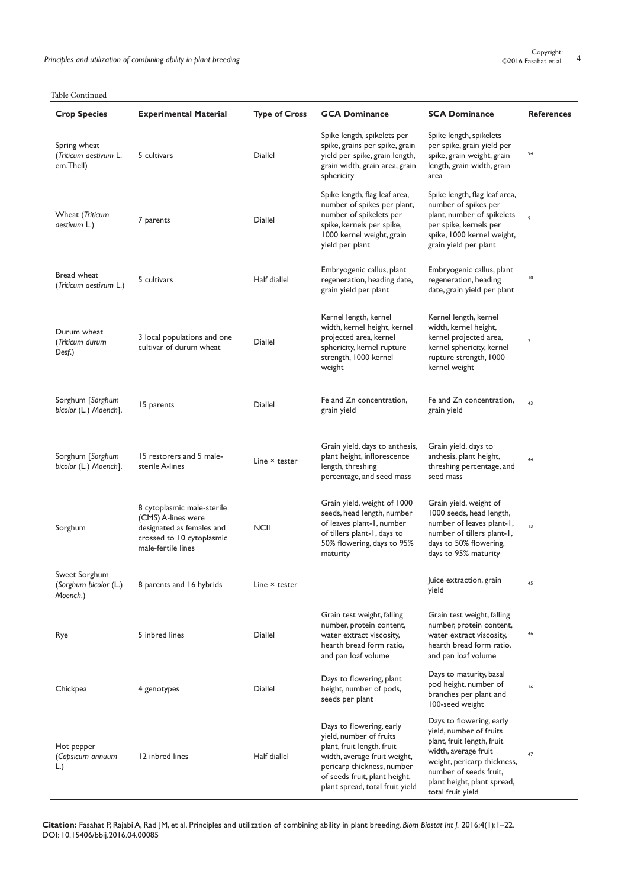| <b>Crop Species</b>                                | <b>Experimental Material</b>                                                                                                     | <b>Type of Cross</b> | <b>GCA Dominance</b>                                                                                                                                                                                                | <b>SCA Dominance</b>                                                                                                                                                                                                   | <b>References</b> |
|----------------------------------------------------|----------------------------------------------------------------------------------------------------------------------------------|----------------------|---------------------------------------------------------------------------------------------------------------------------------------------------------------------------------------------------------------------|------------------------------------------------------------------------------------------------------------------------------------------------------------------------------------------------------------------------|-------------------|
| Spring wheat<br>(Triticum aestivum L.<br>em.Thell) | 5 cultivars                                                                                                                      | Diallel              | Spike length, spikelets per<br>spike, grains per spike, grain<br>yield per spike, grain length,<br>grain width, grain area, grain<br>sphericity                                                                     | Spike length, spikelets<br>per spike, grain yield per<br>spike, grain weight, grain<br>length, grain width, grain<br>area                                                                                              | 94                |
| Wheat (Triticum<br>aestivum L.)                    | 7 parents                                                                                                                        | <b>Diallel</b>       | Spike length, flag leaf area,<br>number of spikes per plant,<br>number of spikelets per<br>spike, kernels per spike,<br>1000 kernel weight, grain<br>yield per plant                                                | Spike length, flag leaf area,<br>number of spikes per<br>plant, number of spikelets<br>per spike, kernels per<br>spike, 1000 kernel weight,<br>grain yield per plant                                                   | 9                 |
| Bread wheat<br>(Triticum aestivum L.)              | 5 cultivars                                                                                                                      | Half diallel         | Embryogenic callus, plant<br>regeneration, heading date,<br>grain yield per plant                                                                                                                                   | Embryogenic callus, plant<br>regeneration, heading<br>date, grain yield per plant                                                                                                                                      | $\overline{10}$   |
| Durum wheat<br>(Triticum durum<br>Desf.)           | 3 local populations and one<br>cultivar of durum wheat                                                                           | Diallel              | Kernel length, kernel<br>width, kernel height, kernel<br>projected area, kernel<br>sphericity, kernel rupture<br>strength, 1000 kernel<br>weight                                                                    | Kernel length, kernel<br>width, kernel height,<br>kernel projected area,<br>kernel sphericity, kernel<br>rupture strength, 1000<br>kernel weight                                                                       | $\mathbf 2$       |
| Sorghum [Sorghum<br>bicolor (L.) Moench].          | 15 parents                                                                                                                       | Diallel              | Fe and Zn concentration,<br>grain yield                                                                                                                                                                             | Fe and Zn concentration,<br>grain yield                                                                                                                                                                                | 43                |
| Sorghum [Sorghum<br>bicolor (L.) Moench].          | 15 restorers and 5 male-<br>sterile A-lines                                                                                      | Line × tester        | Grain yield, days to anthesis,<br>plant height, inflorescence<br>length, threshing<br>percentage, and seed mass                                                                                                     | Grain yield, days to<br>anthesis, plant height,<br>threshing percentage, and<br>seed mass                                                                                                                              | 44                |
| Sorghum                                            | 8 cytoplasmic male-sterile<br>(CMS) A-lines were<br>designated as females and<br>crossed to 10 cytoplasmic<br>male-fertile lines | <b>NCII</b>          | Grain yield, weight of 1000<br>seeds, head length, number<br>of leaves plant-1, number<br>of tillers plant-1, days to<br>50% flowering, days to 95%<br>maturity                                                     | Grain yield, weight of<br>1000 seeds, head length,<br>number of leaves plant-1,<br>number of tillers plant-1,<br>days to 50% flowering,<br>days to 95% maturity                                                        | 3                 |
| Sweet Sorghum<br>(Sorghum bicolor (L.)<br>Moench.) | 8 parents and 16 hybrids                                                                                                         | Line × tester        |                                                                                                                                                                                                                     | Juice extraction, grain<br>yield                                                                                                                                                                                       | 45                |
| Rye                                                | 5 inbred lines                                                                                                                   | <b>Diallel</b>       | Grain test weight, falling<br>number, protein content,<br>water extract viscosity,<br>hearth bread form ratio,<br>and pan loaf volume                                                                               | Grain test weight, falling<br>number, protein content,<br>water extract viscosity,<br>hearth bread form ratio,<br>and pan loaf volume                                                                                  | 46                |
| Chickpea                                           | 4 genotypes                                                                                                                      | <b>Diallel</b>       | Days to flowering, plant<br>height, number of pods,<br>seeds per plant                                                                                                                                              | Days to maturity, basal<br>pod height, number of<br>branches per plant and<br>100-seed weight                                                                                                                          | 16                |
| Hot pepper<br>(Capsicum annuum<br>L.)              | 12 inbred lines                                                                                                                  | Half diallel         | Days to flowering, early<br>yield, number of fruits<br>plant, fruit length, fruit<br>width, average fruit weight,<br>pericarp thickness, number<br>of seeds fruit, plant height,<br>plant spread, total fruit yield | Days to flowering, early<br>yield, number of fruits<br>plant, fruit length, fruit<br>width, average fruit<br>weight, pericarp thickness,<br>number of seeds fruit,<br>plant height, plant spread,<br>total fruit yield | 47                |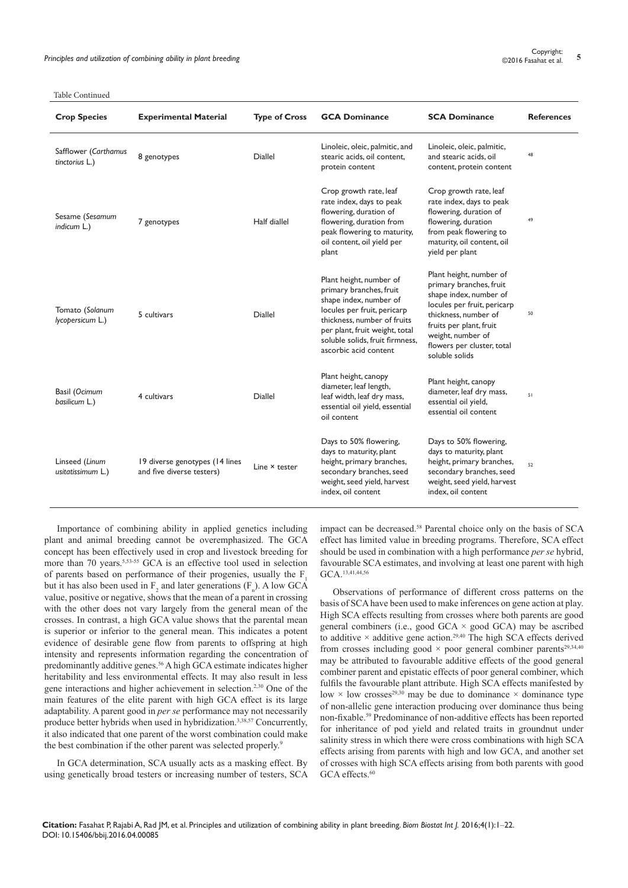| <b>Crop Species</b>                    | <b>Experimental Material</b>                                | <b>Type of Cross</b> | <b>GCA Dominance</b>                                                                                                                                                                                                                     | <b>SCA Dominance</b>                                                                                                                                                                                                                | <b>References</b> |
|----------------------------------------|-------------------------------------------------------------|----------------------|------------------------------------------------------------------------------------------------------------------------------------------------------------------------------------------------------------------------------------------|-------------------------------------------------------------------------------------------------------------------------------------------------------------------------------------------------------------------------------------|-------------------|
| Safflower (Carthamus<br>tinctorius L.) | 8 genotypes                                                 | <b>Diallel</b>       | Linoleic, oleic, palmitic, and<br>stearic acids, oil content,<br>protein content                                                                                                                                                         | Linoleic, oleic, palmitic,<br>and stearic acids, oil<br>content, protein content                                                                                                                                                    | 48                |
| Sesame (Sesamum<br>indicum L.)         | 7 genotypes                                                 | Half diallel         | Crop growth rate, leaf<br>rate index, days to peak<br>flowering, duration of<br>flowering, duration from<br>peak flowering to maturity,<br>oil content, oil yield per<br>plant                                                           | Crop growth rate, leaf<br>rate index, days to peak<br>flowering, duration of<br>flowering, duration<br>from peak flowering to<br>maturity, oil content, oil<br>yield per plant                                                      | 49                |
| Tomato (Solanum<br>lycopersicum L.)    | 5 cultivars                                                 | <b>Diallel</b>       | Plant height, number of<br>primary branches, fruit<br>shape index, number of<br>locules per fruit, pericarp<br>thickness, number of fruits<br>per plant, fruit weight, total<br>soluble solids, fruit firmness,<br>ascorbic acid content | Plant height, number of<br>primary branches, fruit<br>shape index, number of<br>locules per fruit, pericarp<br>thickness, number of<br>fruits per plant, fruit<br>weight, number of<br>flowers per cluster, total<br>soluble solids | 50                |
| Basil (Ocimum<br>basilicum L.)         | 4 cultivars                                                 | <b>Diallel</b>       | Plant height, canopy<br>diameter, leaf length,<br>leaf width, leaf dry mass,<br>essential oil yield, essential<br>oil content                                                                                                            | Plant height, canopy<br>diameter, leaf dry mass,<br>essential oil yield,<br>essential oil content                                                                                                                                   | 51                |
| Linseed (Linum<br>usitatissimum L.)    | 19 diverse genotypes (14 lines<br>and five diverse testers) | Line × tester        | Days to 50% flowering,<br>days to maturity, plant<br>height, primary branches,<br>secondary branches, seed<br>weight, seed yield, harvest<br>index, oil content                                                                          | Days to 50% flowering,<br>days to maturity, plant<br>height, primary branches,<br>secondary branches, seed<br>weight, seed yield, harvest<br>index, oil content                                                                     | 52                |

Importance of combining ability in applied genetics including plant and animal breeding cannot be overemphasized. The GCA concept has been effectively used in crop and livestock breeding for more than 70 years.<sup>5,53-55</sup> GCA is an effective tool used in selection of parents based on performance of their progenies, usually the F. but it has also been used in  $F_2$  and later generations  $(F_n)$ . A low GCA value, positive or negative, shows that the mean of a parent in crossing with the other does not vary largely from the general mean of the crosses. In contrast, a high GCA value shows that the parental mean is superior or inferior to the general mean. This indicates a potent evidence of desirable gene flow from parents to offspring at high intensity and represents information regarding the concentration of predominantly additive genes.<sup>56</sup> A high GCA estimate indicates higher heritability and less environmental effects. It may also result in less gene interactions and higher achievement in selection.2,30 One of the main features of the elite parent with high GCA effect is its large adaptability. A parent good in *per se* performance may not necessarily produce better hybrids when used in hybridization.3,38,57 Concurrently, it also indicated that one parent of the worst combination could make the best combination if the other parent was selected properly.<sup>9</sup>

In GCA determination, SCA usually acts as a masking effect. By using genetically broad testers or increasing number of testers, SCA impact can be decreased.<sup>58</sup> Parental choice only on the basis of SCA effect has limited value in breeding programs. Therefore, SCA effect should be used in combination with a high performance *per se* hybrid, favourable SCA estimates, and involving at least one parent with high GCA.13,41,44,56

Observations of performance of different cross patterns on the basis of SCA have been used to make inferences on gene action at play. High SCA effects resulting from crosses where both parents are good general combiners (i.e., good GCA  $\times$  good GCA) may be ascribed to additive  $\times$  additive gene action.<sup>29,40</sup> The high SCA effects derived from crosses including good  $\times$  poor general combiner parents<sup>29,34,40</sup> may be attributed to favourable additive effects of the good general combiner parent and epistatic effects of poor general combiner, which fulfils the favourable plant attribute. High SCA effects manifested by low  $\times$  low crosses<sup>29,30</sup> may be due to dominance  $\times$  dominance type of non-allelic gene interaction producing over dominance thus being non-fixable.<sup>59</sup> Predominance of non-additive effects has been reported for inheritance of pod yield and related traits in groundnut under salinity stress in which there were cross combinations with high SCA effects arising from parents with high and low GCA, and another set of crosses with high SCA effects arising from both parents with good GCA effects.<sup>60</sup>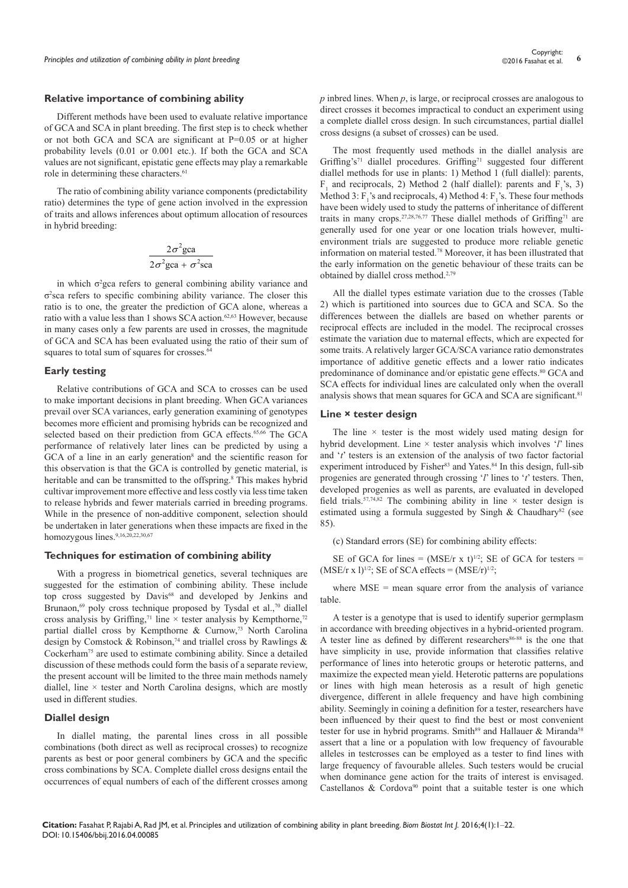#### **Relative importance of combining ability**

Different methods have been used to evaluate relative importance of GCA and SCA in plant breeding. The first step is to check whether or not both GCA and SCA are significant at P=0.05 or at higher probability levels (0.01 or 0.001 etc.). If both the GCA and SCA values are not significant, epistatic gene effects may play a remarkable role in determining these characters.<sup>61</sup>

The ratio of combining ability variance components (predictability ratio) determines the type of gene action involved in the expression of traits and allows inferences about optimum allocation of resources in hybrid breeding:

$$
\frac{2\sigma^2 \text{gca}}{2\sigma^2 \text{gca} + \sigma^2 \text{sca}}
$$

in which  $\sigma^2$ gca refers to general combining ability variance and σ2 sca refers to specific combining ability variance. The closer this ratio is to one, the greater the prediction of GCA alone, whereas a ratio with a value less than 1 shows SCA action.62,63 However, because in many cases only a few parents are used in crosses, the magnitude of GCA and SCA has been evaluated using the ratio of their sum of squares to total sum of squares for crosses.<sup>64</sup>

#### **Early testing**

Relative contributions of GCA and SCA to crosses can be used to make important decisions in plant breeding. When GCA variances prevail over SCA variances, early generation examining of genotypes becomes more efficient and promising hybrids can be recognized and selected based on their prediction from GCA effects.<sup>65,66</sup> The GCA performance of relatively later lines can be predicted by using a GCA of a line in an early generation<sup>8</sup> and the scientific reason for this observation is that the GCA is controlled by genetic material, is heritable and can be transmitted to the offspring.<sup>8</sup> This makes hybrid cultivar improvement more effective and less costly via less time taken to release hybrids and fewer materials carried in breeding programs. While in the presence of non-additive component, selection should be undertaken in later generations when these impacts are fixed in the homozygous lines.<sup>9,16,20,22,30,67</sup>

#### **Techniques for estimation of combining ability**

With a progress in biometrical genetics, several techniques are suggested for the estimation of combining ability. These include top cross suggested by Davis<sup>68</sup> and developed by Jenkins and Brunaon,<sup>69</sup> poly cross technique proposed by Tysdal et al.,<sup>70</sup> diallel cross analysis by Griffing,<sup>71</sup> line  $\times$  tester analysis by Kempthorne,<sup>72</sup> partial diallel cross by Kempthorne & Curnow,<sup>73</sup> North Carolina design by Comstock & Robinson,<sup>74</sup> and triallel cross by Rawlings & Cockerham75 are used to estimate combining ability. Since a detailed discussion of these methods could form the basis of a separate review, the present account will be limited to the three main methods namely diallel, line  $\times$  tester and North Carolina designs, which are mostly used in different studies.

#### **Diallel design**

In diallel mating, the parental lines cross in all possible combinations (both direct as well as reciprocal crosses) to recognize parents as best or poor general combiners by GCA and the specific cross combinations by SCA. Complete diallel cross designs entail the occurrences of equal numbers of each of the different crosses among

*p* inbred lines. When *p*, is large, or reciprocal crosses are analogous to direct crosses it becomes impractical to conduct an experiment using a complete diallel cross design. In such circumstances, partial diallel cross designs (a subset of crosses) can be used.

The most frequently used methods in the diallel analysis are Griffing's<sup>71</sup> diallel procedures. Griffing<sup>71</sup> suggested four different diallel methods for use in plants: 1) Method 1 (full diallel): parents,  $F_1$  and reciprocals, 2) Method 2 (half diallel): parents and  $F_1$ 's, 3) Method 3:  $F_1$ 's and reciprocals, 4) Method 4:  $F_1$ 's. These four methods have been widely used to study the patterns of inheritance of different traits in many crops.<sup>27,28,76,77</sup> These diallel methods of Griffing<sup>71</sup> are generally used for one year or one location trials however, multienvironment trials are suggested to produce more reliable genetic information on material tested.78 Moreover, it has been illustrated that the early information on the genetic behaviour of these traits can be obtained by diallel cross method.2,79

All the diallel types estimate variation due to the crosses (Table 2) which is partitioned into sources due to GCA and SCA. So the differences between the diallels are based on whether parents or reciprocal effects are included in the model. The reciprocal crosses estimate the variation due to maternal effects, which are expected for some traits. A relatively larger GCA/SCA variance ratio demonstrates importance of additive genetic effects and a lower ratio indicates predominance of dominance and/or epistatic gene effects.<sup>80</sup> GCA and SCA effects for individual lines are calculated only when the overall analysis shows that mean squares for GCA and SCA are significant.<sup>81</sup>

# **Line × tester design**

The line  $\times$  tester is the most widely used mating design for hybrid development. Line × tester analysis which involves '*l*' lines and '*t*' testers is an extension of the analysis of two factor factorial experiment introduced by Fisher<sup>83</sup> and Yates.<sup>84</sup> In this design, full-sib progenies are generated through crossing '*l*' lines to '*t*' testers. Then, developed progenies as well as parents, are evaluated in developed field trials.<sup>57,74,82</sup> The combining ability in line  $\times$  tester design is estimated using a formula suggested by Singh & Chaudhary<sup>82</sup> (see 85).

(c) Standard errors (SE) for combining ability effects:

SE of GCA for lines =  $(MSE/r \times t)^{1/2}$ ; SE of GCA for testers =  $(MSE/r \times 1)^{1/2}$ ; SE of SCA effects =  $(MSE/r)^{1/2}$ ;

where  $MSE$  = mean square error from the analysis of variance table.

A tester is a genotype that is used to identify superior germplasm in accordance with breeding objectives in a hybrid-oriented program. A tester line as defined by different researchers<sup>86-88</sup> is the one that have simplicity in use, provide information that classifies relative performance of lines into heterotic groups or heterotic patterns, and maximize the expected mean yield. Heterotic patterns are populations or lines with high mean heterosis as a result of high genetic divergence, different in allele frequency and have high combining ability. Seemingly in coining a definition for a tester, researchers have been influenced by their quest to find the best or most convenient tester for use in hybrid programs. Smith<sup>89</sup> and Hallauer & Miranda<sup>58</sup> assert that a line or a population with low frequency of favourable alleles in testcrosses can be employed as a tester to find lines with large frequency of favourable alleles. Such testers would be crucial when dominance gene action for the traits of interest is envisaged. Castellanos  $\&$  Cordova<sup>90</sup> point that a suitable tester is one which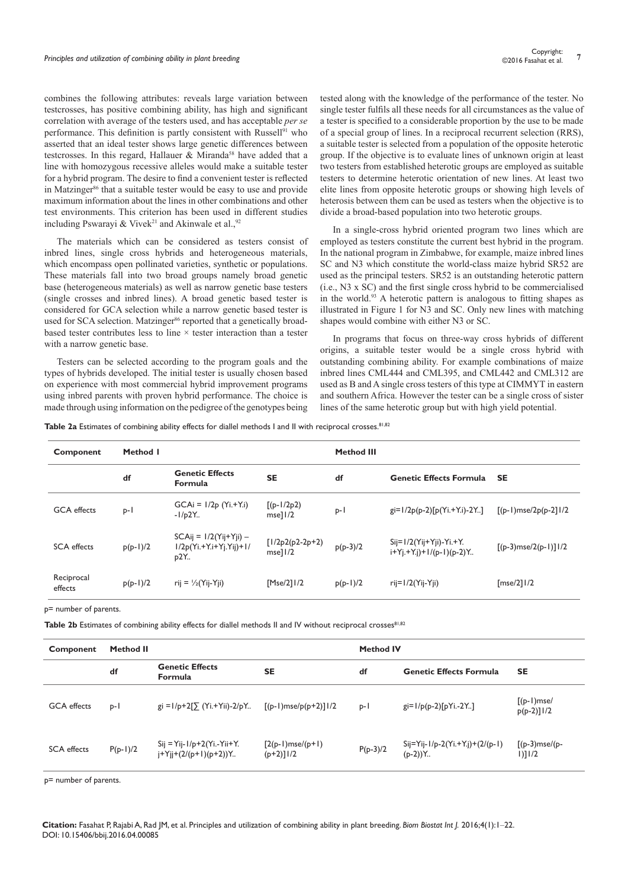combines the following attributes: reveals large variation between testcrosses, has positive combining ability, has high and significant correlation with average of the testers used, and has acceptable *per se* performance. This definition is partly consistent with Russell<sup>91</sup> who asserted that an ideal tester shows large genetic differences between testcrosses. In this regard, Hallauer & Miranda<sup>58</sup> have added that a line with homozygous recessive alleles would make a suitable tester for a hybrid program. The desire to find a convenient tester is reflected in Matzinger<sup>86</sup> that a suitable tester would be easy to use and provide maximum information about the lines in other combinations and other test environments. This criterion has been used in different studies including Pswarayi & Vivek<sup>21</sup> and Akinwale et al.,  $92$ 

The materials which can be considered as testers consist of inbred lines, single cross hybrids and heterogeneous materials, which encompass open pollinated varieties, synthetic or populations. These materials fall into two broad groups namely broad genetic base (heterogeneous materials) as well as narrow genetic base testers (single crosses and inbred lines). A broad genetic based tester is considered for GCA selection while a narrow genetic based tester is used for SCA selection. Matzinger<sup>86</sup> reported that a genetically broadbased tester contributes less to line  $\times$  tester interaction than a tester with a narrow genetic base.

Testers can be selected according to the program goals and the types of hybrids developed. The initial tester is usually chosen based on experience with most commercial hybrid improvement programs using inbred parents with proven hybrid performance. The choice is made through using information on the pedigree of the genotypes being

tested along with the knowledge of the performance of the tester. No single tester fulfils all these needs for all circumstances as the value of a tester is specified to a considerable proportion by the use to be made of a special group of lines. In a reciprocal recurrent selection (RRS), a suitable tester is selected from a population of the opposite heterotic group. If the objective is to evaluate lines of unknown origin at least two testers from established heterotic groups are employed as suitable testers to determine heterotic orientation of new lines. At least two elite lines from opposite heterotic groups or showing high levels of heterosis between them can be used as testers when the objective is to divide a broad-based population into two heterotic groups.

In a single-cross hybrid oriented program two lines which are employed as testers constitute the current best hybrid in the program. In the national program in Zimbabwe, for example, maize inbred lines SC and N3 which constitute the world-class maize hybrid SR52 are used as the principal testers. SR52 is an outstanding heterotic pattern (i.e., N3 x SC) and the first single cross hybrid to be commercialised in the world.93 A heterotic pattern is analogous to fitting shapes as illustrated in Figure 1 for N3 and SC. Only new lines with matching shapes would combine with either N3 or SC.

In programs that focus on three-way cross hybrids of different origins, a suitable tester would be a single cross hybrid with outstanding combining ability. For example combinations of maize inbred lines CML444 and CML395, and CML442 and CML312 are used as B and A single cross testers of this type at CIMMYT in eastern and southern Africa. However the tester can be a single cross of sister lines of the same heterotic group but with high yield potential.

**Table 2a** Estimates of combining ability effects for diallel methods I and II with reciprocal crosses.<sup>81,82</sup>

| Component             | Method I   |                                                              |                               | <b>Method III</b> |                                                              |                        |
|-----------------------|------------|--------------------------------------------------------------|-------------------------------|-------------------|--------------------------------------------------------------|------------------------|
|                       | df         | <b>Genetic Effects</b><br><b>Formula</b>                     | <b>SE</b>                     | df                | <b>Genetic Effects Formula</b>                               | <b>SE</b>              |
| <b>GCA</b> effects    | $p-1$      | $GCAi = 1/2p (Yi.+Y.i)$<br>$-I/p2Y1$                         | $[(p-1/2p2)]$<br>msel1/2      | $p-1$             | $gi=1/2p(p-2)[p(Yi.+Y_i)-2Y]$                                | $[(p-1)mse/2p(p-2)]/2$ |
| <b>SCA</b> effects    | $p(p-1)/2$ | $SCAij = 1/2(Yij+Yji) -$<br>$1/2p(Yi.+Y.i+Yj.Yij)+1/$<br>p2Y | $[1/2p2(p2-2p+2)]$<br>msel1/2 | $p(p-3)/2$        | $Sij=1/2(Yij+Yji)-Yi.+Y.$<br>$i+Yj+Y_{i}j+1/(p-1)(p-2)Y_{i}$ | $[(p-3)mse/2(p-1)]1/2$ |
| Reciprocal<br>effects | $p(p-1)/2$ | rij = $\frac{1}{2}$ (Yij-Yji)                                | [Mse/2] 1/2                   | $p(p-1)/2$        | $ri=1/2(Yi-Yii)$                                             | $[mse/2]$ $1/2$        |

p= number of parents.

Table 2b Estimates of combining ability effects for diallel methods II and IV without reciprocal crosses<sup>81,82</sup>

| <b>Method II</b><br>Component |            |                                                                    | <b>Method IV</b>                         |            |                                                                  |                                  |
|-------------------------------|------------|--------------------------------------------------------------------|------------------------------------------|------------|------------------------------------------------------------------|----------------------------------|
|                               | df         | <b>Genetic Effects</b><br><b>Formula</b>                           | <b>SE</b>                                | df         | <b>Genetic Effects Formula</b>                                   | <b>SE</b>                        |
| <b>GCA</b> effects            | $p-1$      | $gi = 1/p + 2[\sum (Y_i + Y_{ii}) - 2/pY_{}]$                      | $[(p-1)mse/p(p+2)]$   /2                 | $p-1$      | $gi=1/p(p-2)[pYi.-2Y]$                                           | $[(p-1)mse/$<br>$p(p-2)$ ] $1/2$ |
| <b>SCA</b> effects            | $P(p-1)/2$ | $Sij = Yij - 1/p + 2(Yi, -Yii + Y.$<br>$i+Y$ ii+ $(2/(p+1)(p+2))Y$ | $[2(p-1)$ mse/ $(p+1)$<br>$(p+2)$ ]   /2 | $P(p-3)/2$ | $Sij = Yij - 1/p - 2(Yi. + Yj) + (2/(p-1))$<br>$(p-2)$ ) $Y_{n}$ | $[(p-3)mse/(p-$<br>$1)$ ] $1/2$  |

p= number of parents.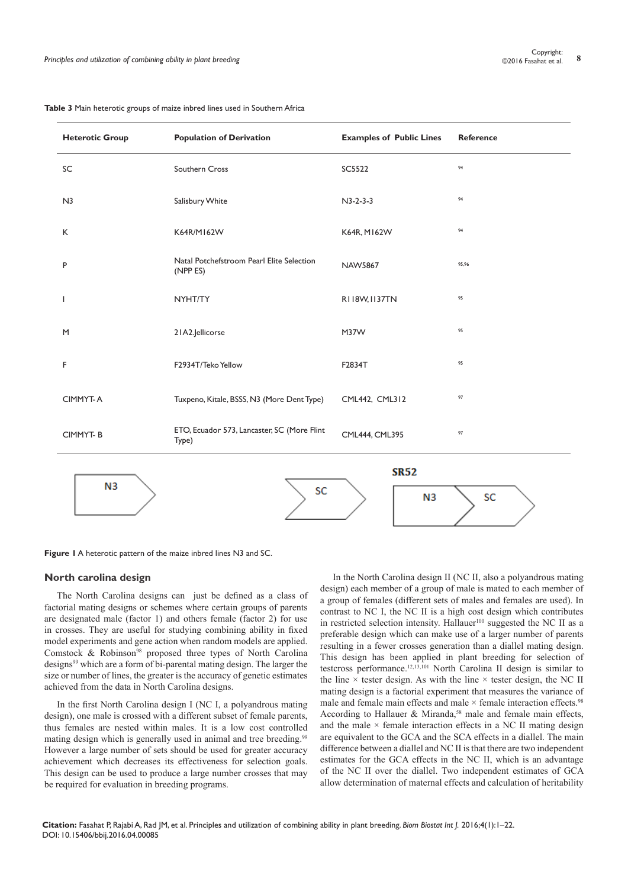|                                                                         | pies and adilization of combining ability in piant breeding |                                 | ©2016 Fasanat et al.<br>$\cdot$ |  |  |  |  |  |
|-------------------------------------------------------------------------|-------------------------------------------------------------|---------------------------------|---------------------------------|--|--|--|--|--|
| e 3 Main heterotic groups of maize inbred lines used in Southern Africa |                                                             |                                 |                                 |  |  |  |  |  |
| <b>Heterotic Group</b>                                                  | <b>Population of Derivation</b>                             | <b>Examples of Public Lines</b> | Reference                       |  |  |  |  |  |
| SC                                                                      | Southern Cross                                              | SC5522                          | 94                              |  |  |  |  |  |
| N <sub>3</sub>                                                          | Salisbury White                                             | $N3-2-3-3$                      | 94                              |  |  |  |  |  |
| K                                                                       | K64R/M162W                                                  | K64R, M162W                     | 94                              |  |  |  |  |  |

| Table 3 Main heterotic groups of maize inbred lines used in Southern Africa |  |  |
|-----------------------------------------------------------------------------|--|--|
|-----------------------------------------------------------------------------|--|--|

<sup>P</sup> Natal Potchefstroom Pearl Elite Selection NAW5867 (NPP ES) 95,96 I NYHT/TY RII8W.II37TN <sup>95</sup> M 21A2.Jellicorse M37W 95 F F2934T/Teko Yellow F2834T <sup>95</sup> CIMMYT-A Tuxpeno, Kitale, BSSS, N3 (More Dent Type) CML442, CML312 <sup>97</sup> CIMMYT- B ETO, Ecuador 573, Lancaster, SC (More Flint CML444, CML395 97 **SR52**  $N<sub>3</sub>$ SC  $N<sub>3</sub>$ SC

**Figure 1** A heterotic pattern of the maize inbred lines N3 and SC.

# **North carolina design**

The North Carolina designs can just be defined as a class of factorial mating designs or schemes where certain groups of parents are designated male (factor 1) and others female (factor 2) for use in crosses. They are useful for studying combining ability in fixed model experiments and gene action when random models are applied. Comstock & Robinson<sup>98</sup> proposed three types of North Carolina designs<sup>99</sup> which are a form of bi-parental mating design. The larger the size or number of lines, the greater is the accuracy of genetic estimates achieved from the data in North Carolina designs.

In the first North Carolina design I (NC I, a polyandrous mating design), one male is crossed with a different subset of female parents, thus females are nested within males. It is a low cost controlled mating design which is generally used in animal and tree breeding.<sup>99</sup> However a large number of sets should be used for greater accuracy achievement which decreases its effectiveness for selection goals. This design can be used to produce a large number crosses that may be required for evaluation in breeding programs.

In the North Carolina design II (NC II, also a polyandrous mating design) each member of a group of male is mated to each member of a group of females (different sets of males and females are used). In contrast to NC I, the NC II is a high cost design which contributes in restricted selection intensity. Hallauer<sup>100</sup> suggested the NC II as a preferable design which can make use of a larger number of parents resulting in a fewer crosses generation than a diallel mating design. This design has been applied in plant breeding for selection of testcross performance.12,13,101 North Carolina II design is similar to the line  $\times$  tester design. As with the line  $\times$  tester design, the NC II mating design is a factorial experiment that measures the variance of male and female main effects and male  $\times$  female interaction effects.<sup>98</sup> According to Hallauer  $&$  Miranda,<sup>58</sup> male and female main effects, and the male  $\times$  female interaction effects in a NC II mating design are equivalent to the GCA and the SCA effects in a diallel. The main difference between a diallel and NC II is that there are two independent estimates for the GCA effects in the NC II, which is an advantage of the NC II over the diallel. Two independent estimates of GCA allow determination of maternal effects and calculation of heritability

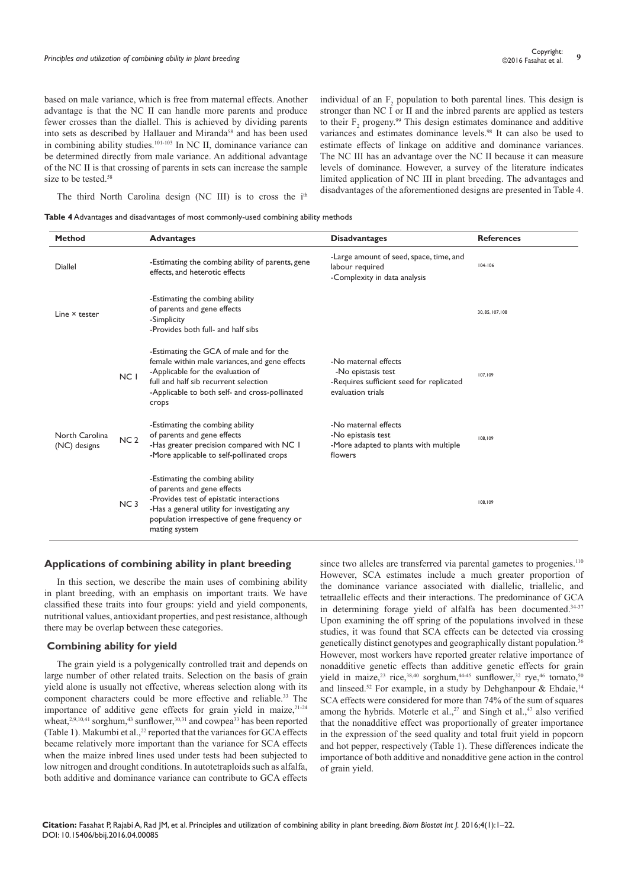based on male variance, which is free from maternal effects. Another advantage is that the NC II can handle more parents and produce fewer crosses than the diallel. This is achieved by dividing parents into sets as described by Hallauer and Miranda<sup>58</sup> and has been used in combining ability studies.101-103 In NC II, dominance variance can be determined directly from male variance. An additional advantage of the NC II is that crossing of parents in sets can increase the sample size to be tested.<sup>58</sup>

individual of an  $F_2$  population to both parental lines. This design is stronger than NC I or II and the inbred parents are applied as testers to their  $F_2$  progeny.<sup>99</sup> This design estimates dominance and additive variances and estimates dominance levels.98 It can also be used to estimate effects of linkage on additive and dominance variances. The NC III has an advantage over the NC II because it can measure levels of dominance. However, a survey of the literature indicates limited application of NC III in plant breeding. The advantages and disadvantages of the aforementioned designs are presented in Table 4.

The third North Carolina design (NC III) is to cross the i<sup>th</sup>

**Table 4** Advantages and disadvantages of most commonly-used combining ability methods

| <b>Method</b>                  |                 | <b>Advantages</b>                                                                                                                                                                                                                  | <b>Disadvantages</b>                                                                                        | <b>References</b> |
|--------------------------------|-----------------|------------------------------------------------------------------------------------------------------------------------------------------------------------------------------------------------------------------------------------|-------------------------------------------------------------------------------------------------------------|-------------------|
| <b>Diallel</b>                 |                 | -Estimating the combing ability of parents, gene<br>effects, and heterotic effects                                                                                                                                                 | -Large amount of seed, space, time, and<br>labour required<br>-Complexity in data analysis                  | $104 - 106$       |
| Line × tester                  |                 | -Estimating the combing ability<br>of parents and gene effects<br>-Simplicity<br>-Provides both full- and half sibs                                                                                                                |                                                                                                             | 30, 85, 107, 108  |
|                                | NC I            | -Estimating the GCA of male and for the<br>female within male variances, and gene effects<br>-Applicable for the evaluation of<br>full and half sib recurrent selection<br>-Applicable to both self- and cross-pollinated<br>crops | -No maternal effects<br>-No epistasis test<br>-Requires sufficient seed for replicated<br>evaluation trials | 107,109           |
| North Carolina<br>(NC) designs | NC <sub>2</sub> | -Estimating the combing ability<br>of parents and gene effects<br>-Has greater precision compared with NC I<br>-More applicable to self-pollinated crops                                                                           | -No maternal effects<br>-No epistasis test<br>-More adapted to plants with multiple<br>flowers              | 108.109           |
|                                | NC <sub>3</sub> | -Estimating the combing ability<br>of parents and gene effects<br>-Provides test of epistatic interactions<br>-Has a general utility for investigating any<br>population irrespective of gene frequency or<br>mating system        |                                                                                                             | 108,109           |

## **Applications of combining ability in plant breeding**

In this section, we describe the main uses of combining ability in plant breeding, with an emphasis on important traits. We have classified these traits into four groups: yield and yield components, nutritional values, antioxidant properties, and pest resistance, although there may be overlap between these categories.

#### **Combining ability for yield**

The grain yield is a polygenically controlled trait and depends on large number of other related traits. Selection on the basis of grain yield alone is usually not effective, whereas selection along with its component characters could be more effective and reliable.<sup>33</sup> The importance of additive gene effects for grain yield in maize, $21-24$ wheat,<sup>2,9,10,41</sup> sorghum,<sup>43</sup> sunflower,<sup>30,31</sup> and cowpea<sup>33</sup> has been reported (Table 1). Makumbi et al., $^{22}$  reported that the variances for GCA effects became relatively more important than the variance for SCA effects when the maize inbred lines used under tests had been subjected to low nitrogen and drought conditions. In autotetraploids such as alfalfa, both additive and dominance variance can contribute to GCA effects

since two alleles are transferred via parental gametes to progenies.<sup>110</sup> However, SCA estimates include a much greater proportion of the dominance variance associated with diallelic, triallelic, and tetraallelic effects and their interactions. The predominance of GCA in determining forage yield of alfalfa has been documented.<sup>34-37</sup> Upon examining the off spring of the populations involved in these studies, it was found that SCA effects can be detected via crossing genetically distinct genotypes and geographically distant population.36 However, most workers have reported greater relative importance of nonadditive genetic effects than additive genetic effects for grain yield in maize,<sup>23</sup> rice,<sup>38,40</sup> sorghum,<sup>44-45</sup> sunflower,<sup>32</sup> rye,<sup>46</sup> tomato,<sup>50</sup> and linseed.<sup>52</sup> For example, in a study by Dehghanpour & Ehdaie,<sup>14</sup> SCA effects were considered for more than 74% of the sum of squares among the hybrids. Moterle et al.,<sup>27</sup> and Singh et al.,<sup>47</sup> also verified that the nonadditive effect was proportionally of greater importance in the expression of the seed quality and total fruit yield in popcorn and hot pepper, respectively (Table 1). These differences indicate the importance of both additive and nonadditive gene action in the control of grain yield.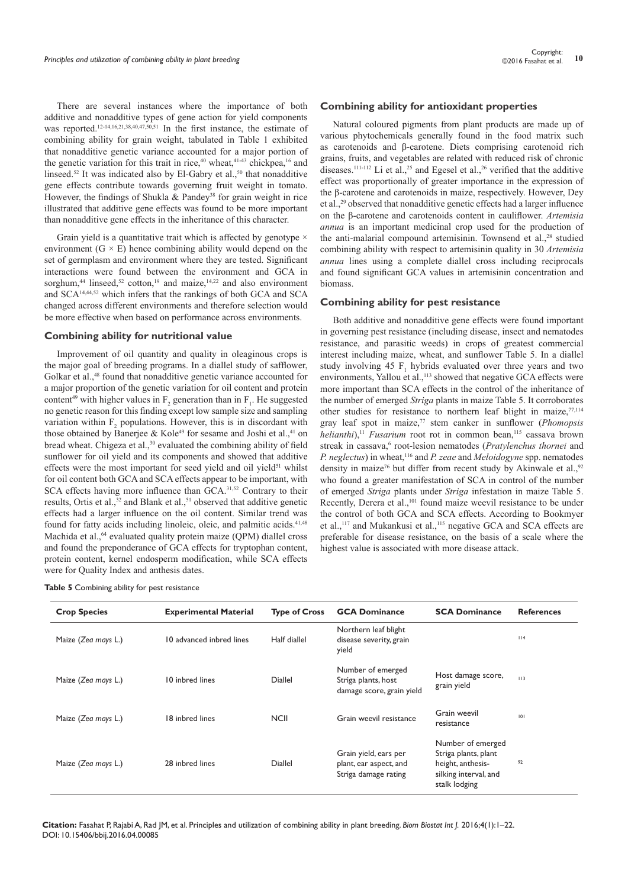There are several instances where the importance of both additive and nonadditive types of gene action for yield components was reported.<sup>12-14,16,21,38,40,47,50,51</sup> In the first instance, the estimate of combining ability for grain weight, tabulated in Table 1 exhibited that nonadditive genetic variance accounted for a major portion of the genetic variation for this trait in rice, $40$  wheat, $41-43$  chickpea, $16$  and linseed.<sup>52</sup> It was indicated also by El-Gabry et al.,<sup>50</sup> that nonadditive gene effects contribute towards governing fruit weight in tomato. However, the findings of Shukla & Pandey<sup>38</sup> for grain weight in rice illustrated that additive gene effects was found to be more important than nonadditive gene effects in the inheritance of this character.

Grain yield is a quantitative trait which is affected by genotype  $\times$ environment  $(G \times E)$  hence combining ability would depend on the set of germplasm and environment where they are tested. Significant interactions were found between the environment and GCA in sorghum,<sup>44</sup> linseed,<sup>52</sup> cotton,<sup>19</sup> and maize,<sup>14,22</sup> and also environment and SCA14,44,52 which infers that the rankings of both GCA and SCA changed across different environments and therefore selection would be more effective when based on performance across environments.

#### **Combining ability for nutritional value**

Improvement of oil quantity and quality in oleaginous crops is the major goal of breeding programs. In a diallel study of safflower, Golkar et al.<sup>48</sup> found that nonadditive genetic variance accounted for a major proportion of the genetic variation for oil content and protein content<sup>49</sup> with higher values in  $F_2$  generation than in  $F_1$ . He suggested no genetic reason for this finding except low sample size and sampling variation within  $F_2$  populations. However, this is in discordant with those obtained by Banerjee & Kole<sup>49</sup> for sesame and Joshi et al.,<sup>41</sup> on bread wheat. Chigeza et al.,<sup>30</sup> evaluated the combining ability of field sunflower for oil yield and its components and showed that additive effects were the most important for seed yield and oil yield<sup>51</sup> whilst for oil content both GCA and SCA effects appear to be important, with SCA effects having more influence than GCA.<sup>31,52</sup> Contrary to their results, Ortis et al., $32$  and Blank et al., $51$  observed that additive genetic effects had a larger influence on the oil content. Similar trend was found for fatty acids including linoleic, oleic, and palmitic acids.<sup>41,48</sup> Machida et al.,<sup>64</sup> evaluated quality protein maize (QPM) diallel cross and found the preponderance of GCA effects for tryptophan content, protein content, kernel endosperm modification, while SCA effects were for Quality Index and anthesis dates.

#### **Combining ability for antioxidant properties**

Natural coloured pigments from plant products are made up of various phytochemicals generally found in the food matrix such as carotenoids and β-carotene. Diets comprising carotenoid rich grains, fruits, and vegetables are related with reduced risk of chronic diseases.<sup>111-112</sup> Li et al.,<sup>25</sup> and Egesel et al.,<sup>26</sup> verified that the additive effect was proportionally of greater importance in the expression of the β-carotene and carotenoids in maize, respectively. However, Dey et al.,29 observed that nonadditive genetic effects had a larger influence on the β-carotene and carotenoids content in cauliflower. *Artemisia annua* is an important medicinal crop used for the production of the anti-malarial compound artemisinin. Townsend et al.,<sup>28</sup> studied combining ability with respect to artemisinin quality in 30 *Artemisia annua* lines using a complete diallel cross including reciprocals and found significant GCA values in artemisinin concentration and biomass.

# **Combining ability for pest resistance**

Both additive and nonadditive gene effects were found important in governing pest resistance (including disease, insect and nematodes resistance, and parasitic weeds) in crops of greatest commercial interest including maize, wheat, and sunflower Table 5. In a diallel study involving 45  $F_1$  hybrids evaluated over three years and two environments, Yallou et al.,<sup>113</sup> showed that negative GCA effects were more important than SCA effects in the control of the inheritance of the number of emerged *Striga* plants in maize Table 5. It corroborates other studies for resistance to northern leaf blight in maize.<sup>77,114</sup> gray leaf spot in maize,<sup>77</sup> stem canker in sunflower (*Phomopsis helianthi*),<sup>11</sup> *Fusarium* root rot in common bean,<sup>115</sup> cassava brown streak in cassava,<sup>6</sup> root-lesion nematodes (*Pratylenchus thornei* and *P. neglectus*) in wheat,<sup>116</sup> and *P. zeae* and *Meloidogyne* spp. nematodes density in maize<sup>76</sup> but differ from recent study by Akinwale et al., <sup>92</sup> who found a greater manifestation of SCA in control of the number of emerged *Striga* plants under *Striga* infestation in maize Table 5. Recently, Derera et al.,<sup>101</sup> found maize weevil resistance to be under the control of both GCA and SCA effects. According to Bookmyer et al.,<sup>117</sup> and Mukankusi et al.,<sup>115</sup> negative GCA and SCA effects are preferable for disease resistance, on the basis of a scale where the highest value is associated with more disease attack.

|  | Table 5 Combining ability for pest resistance |  |  |
|--|-----------------------------------------------|--|--|
|  |                                               |  |  |

| <b>Crop Species</b> | <b>Experimental Material</b> | <b>Type of Cross</b> | <b>GCA Dominance</b>                                                    | <b>SCA Dominance</b>                                                                                     | <b>References</b> |
|---------------------|------------------------------|----------------------|-------------------------------------------------------------------------|----------------------------------------------------------------------------------------------------------|-------------------|
| Maize (Zea mays L.) | 10 advanced inbred lines     | Half diallel         | Northern leaf blight<br>disease severity, grain<br>yield                |                                                                                                          | 114               |
| Maize (Zea mays L.) | 10 inbred lines              | Diallel              | Number of emerged<br>Striga plants, host<br>damage score, grain yield   | Host damage score,<br>grain yield                                                                        | 113               |
| Maize (Zea mays L.) | 18 inbred lines              | <b>NCII</b>          | Grain weevil resistance                                                 | Grain weevil<br>resistance                                                                               | 101               |
| Maize (Zea mays L.) | 28 inbred lines              | Diallel              | Grain yield, ears per<br>plant, ear aspect, and<br>Striga damage rating | Number of emerged<br>Striga plants, plant<br>height, anthesis-<br>silking interval, and<br>stalk lodging | 92                |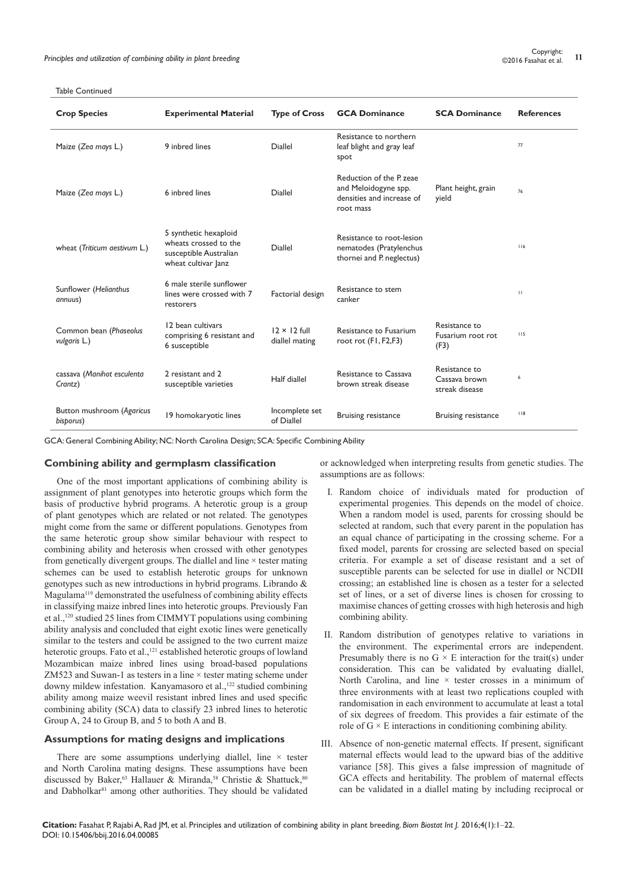| <b>Crop Species</b>                    | <b>Experimental Material</b>                                                                    | <b>Type of Cross</b>                  | <b>GCA Dominance</b>                                                                      | <b>SCA Dominance</b>                             | <b>References</b> |
|----------------------------------------|-------------------------------------------------------------------------------------------------|---------------------------------------|-------------------------------------------------------------------------------------------|--------------------------------------------------|-------------------|
| Maize (Zea mays L.)                    | 9 inhred lines                                                                                  | <b>Diallel</b>                        | Resistance to northern<br>leaf blight and gray leaf<br>spot                               |                                                  | 77                |
| Maize (Zea mays L.)                    | 6 inbred lines                                                                                  | <b>Diallel</b>                        | Reduction of the P zeae<br>and Meloidogyne spp.<br>densities and increase of<br>root mass | Plant height, grain<br>yield                     | 76                |
| wheat (Triticum aestivum L.)           | 5 synthetic hexaploid<br>wheats crossed to the<br>susceptible Australian<br>wheat cultivar lanz | <b>Diallel</b>                        | Resistance to root-lesion<br>nematodes (Pratylenchus<br>thornei and P. neglectus)         |                                                  | 116               |
| Sunflower (Helianthus<br>annuus)       | 6 male sterile sunflower<br>lines were crossed with 7<br>restorers                              | Factorial design                      | Resistance to stem<br>canker                                                              |                                                  | $\mathbf{H}$      |
| Common bean (Phaseolus<br>vulgaris L.) | 12 bean cultivars<br>comprising 6 resistant and<br>6 susceptible                                | $12 \times 12$ full<br>diallel mating | <b>Resistance to Fusarium</b><br>root rot (FI, F2,F3)                                     | Resistance to<br>Fusarium root rot<br>(F3)       | 115               |
| cassava (Manihot esculenta<br>Crantz)  | 2 resistant and 2<br>susceptible varieties                                                      | Half diallel                          | Resistance to Cassava<br>brown streak disease                                             | Resistance to<br>Cassava brown<br>streak disease | 6                 |
| Button mushroom (Agaricus<br>bisporus) | 19 homokaryotic lines                                                                           | Incomplete set<br>of Diallel          | <b>Bruising resistance</b>                                                                | <b>Bruising resistance</b>                       | $ $ $ $ 8         |

GCA: General Combining Ability; NC: North Carolina Design; SCA: Specific Combining Ability

# **Combining ability and germplasm classification**

One of the most important applications of combining ability is assignment of plant genotypes into heterotic groups which form the basis of productive hybrid programs. A heterotic group is a group of plant genotypes which are related or not related. The genotypes might come from the same or different populations. Genotypes from the same heterotic group show similar behaviour with respect to combining ability and heterosis when crossed with other genotypes from genetically divergent groups. The diallel and line × tester mating schemes can be used to establish heterotic groups for unknown genotypes such as new introductions in hybrid programs. Librando & Magulama<sup>119</sup> demonstrated the usefulness of combining ability effects in classifying maize inbred lines into heterotic groups. Previously Fan et al.,120 studied 25 lines from CIMMYT populations using combining ability analysis and concluded that eight exotic lines were genetically similar to the testers and could be assigned to the two current maize heterotic groups. Fato et al.,<sup>121</sup> established heterotic groups of lowland Mozambican maize inbred lines using broad-based populations ZM523 and Suwan-1 as testers in a line × tester mating scheme under downy mildew infestation. Kanyamasoro et al.,<sup>122</sup> studied combining ability among maize weevil resistant inbred lines and used specific combining ability (SCA) data to classify 23 inbred lines to heterotic Group A, 24 to Group B, and 5 to both A and B.

# **Assumptions for mating designs and implications**

There are some assumptions underlying diallel, line  $\times$  tester and North Carolina mating designs. These assumptions have been discussed by Baker,<sup>63</sup> Hallauer & Miranda,<sup>58</sup> Christie & Shattuck,<sup>80</sup> and Dabholkar<sup>81</sup> among other authorities. They should be validated or acknowledged when interpreting results from genetic studies. The assumptions are as follows:

- I. Random choice of individuals mated for production of experimental progenies. This depends on the model of choice. When a random model is used, parents for crossing should be selected at random, such that every parent in the population has an equal chance of participating in the crossing scheme. For a fixed model, parents for crossing are selected based on special criteria. For example a set of disease resistant and a set of susceptible parents can be selected for use in diallel or NCDII crossing; an established line is chosen as a tester for a selected set of lines, or a set of diverse lines is chosen for crossing to maximise chances of getting crosses with high heterosis and high combining ability.
- II. Random distribution of genotypes relative to variations in the environment. The experimental errors are independent. Presumably there is no  $G \times E$  interaction for the trait(s) under consideration. This can be validated by evaluating diallel, North Carolina, and line  $\times$  tester crosses in a minimum of three environments with at least two replications coupled with randomisation in each environment to accumulate at least a total of six degrees of freedom. This provides a fair estimate of the role of  $G \times E$  interactions in conditioning combining ability.
- III. Absence of non-genetic maternal effects. If present, significant maternal effects would lead to the upward bias of the additive variance [58]. This gives a false impression of magnitude of GCA effects and heritability. The problem of maternal effects can be validated in a diallel mating by including reciprocal or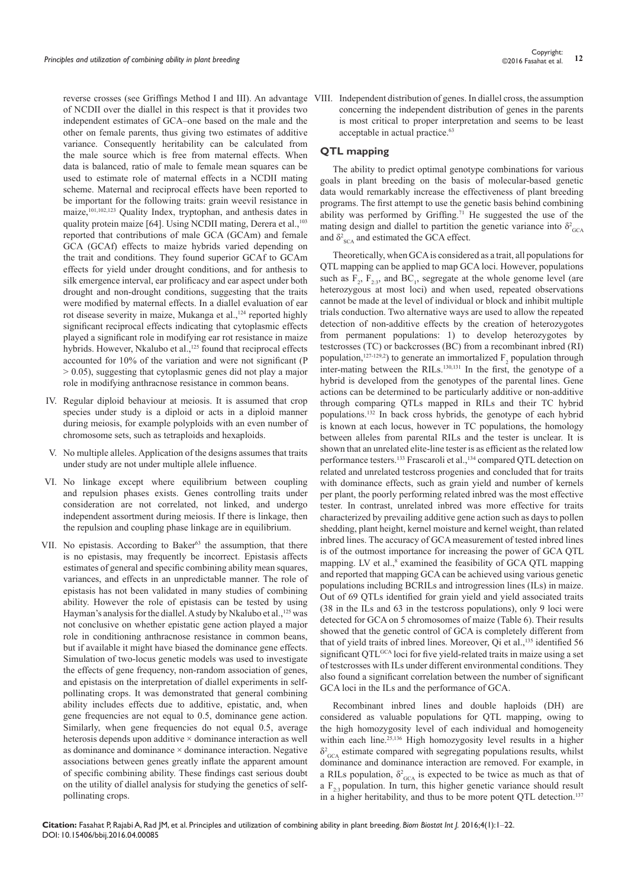of NCDII over the diallel in this respect is that it provides two independent estimates of GCA–one based on the male and the other on female parents, thus giving two estimates of additive variance. Consequently heritability can be calculated from the male source which is free from maternal effects. When data is balanced, ratio of male to female mean squares can be used to estimate role of maternal effects in a NCDII mating scheme. Maternal and reciprocal effects have been reported to be important for the following traits: grain weevil resistance in maize,101,102,123 Quality Index, tryptophan, and anthesis dates in quality protein maize [64]. Using NCDII mating, Derera et al.,<sup>103</sup> reported that contributions of male GCA (GCAm) and female GCA (GCAf) effects to maize hybrids varied depending on the trait and conditions. They found superior GCAf to GCAm effects for yield under drought conditions, and for anthesis to silk emergence interval, ear prolificacy and ear aspect under both drought and non-drought conditions, suggesting that the traits were modified by maternal effects. In a diallel evaluation of ear rot disease severity in maize, Mukanga et al.,<sup>124</sup> reported highly significant reciprocal effects indicating that cytoplasmic effects played a significant role in modifying ear rot resistance in maize hybrids. However, Nkalubo et al.,<sup>125</sup> found that reciprocal effects accounted for 10% of the variation and were not significant (P > 0.05), suggesting that cytoplasmic genes did not play a major role in modifying anthracnose resistance in common beans.

- IV. Regular diploid behaviour at meiosis. It is assumed that crop species under study is a diploid or acts in a diploid manner during meiosis, for example polyploids with an even number of chromosome sets, such as tetraploids and hexaploids.
- V. No multiple alleles. Application of the designs assumes that traits under study are not under multiple allele influence.
- VI. No linkage except where equilibrium between coupling and repulsion phases exists. Genes controlling traits under consideration are not correlated, not linked, and undergo independent assortment during meiosis. If there is linkage, then the repulsion and coupling phase linkage are in equilibrium.
- VII. No epistasis. According to Baker<sup>63</sup> the assumption, that there is no epistasis, may frequently be incorrect. Epistasis affects estimates of general and specific combining ability mean squares, variances, and effects in an unpredictable manner. The role of epistasis has not been validated in many studies of combining ability. However the role of epistasis can be tested by using Hayman's analysis for the diallel. A study by Nkalubo et al.,<sup>125</sup> was not conclusive on whether epistatic gene action played a major role in conditioning anthracnose resistance in common beans, but if available it might have biased the dominance gene effects. Simulation of two-locus genetic models was used to investigate the effects of gene frequency, non-random association of genes, and epistasis on the interpretation of diallel experiments in selfpollinating crops. It was demonstrated that general combining ability includes effects due to additive, epistatic, and, when gene frequencies are not equal to 0.5, dominance gene action. Similarly, when gene frequencies do not equal 0.5, average heterosis depends upon additive  $\times$  dominance interaction as well as dominance and dominance  $\times$  dominance interaction. Negative associations between genes greatly inflate the apparent amount of specific combining ability. These findings cast serious doubt on the utility of diallel analysis for studying the genetics of selfpollinating crops.

reverse crosses (see Griffings Method I and III). An advantage VIII. Independent distribution of genes. In diallel cross, the assumption concerning the independent distribution of genes in the parents is most critical to proper interpretation and seems to be least acceptable in actual practice.<sup>63</sup>

# **QTL mapping**

The ability to predict optimal genotype combinations for various goals in plant breeding on the basis of molecular-based genetic data would remarkably increase the effectiveness of plant breeding programs. The first attempt to use the genetic basis behind combining ability was performed by Griffing.<sup>71</sup> He suggested the use of the mating design and diallel to partition the genetic variance into  $\delta^2_{GCA}$ and  $\delta^2$ <sub>SCA</sub> and estimated the GCA effect.

Theoretically, when GCA is considered as a trait, all populations for QTL mapping can be applied to map GCA loci. However, populations such as  $F_2$ ,  $F_{2,3}$ , and BC<sub>1</sub>, segregate at the whole genome level (are heterozygous at most loci) and when used, repeated observations cannot be made at the level of individual or block and inhibit multiple trials conduction. Two alternative ways are used to allow the repeated detection of non-additive effects by the creation of heterozygotes from permanent populations: 1) to develop heterozygotes by testcrosses (TC) or backcrosses (BC) from a recombinant inbred (RI) population,<sup>127-129,2</sup>) to generate an immortalized  $F_2$  population through inter-mating between the RILs.130,131 In the first, the genotype of a hybrid is developed from the genotypes of the parental lines. Gene actions can be determined to be particularly additive or non-additive through comparing QTLs mapped in RILs and their TC hybrid populations.132 In back cross hybrids, the genotype of each hybrid is known at each locus, however in TC populations, the homology between alleles from parental RILs and the tester is unclear. It is shown that an unrelated elite-line tester is as efficient as the related low performance testers.<sup>133</sup> Frascaroli et al.,<sup>134</sup> compared QTL detection on related and unrelated testcross progenies and concluded that for traits with dominance effects, such as grain yield and number of kernels per plant, the poorly performing related inbred was the most effective tester. In contrast, unrelated inbred was more effective for traits characterized by prevailing additive gene action such as days to pollen shedding, plant height, kernel moisture and kernel weight, than related inbred lines. The accuracy of GCA measurement of tested inbred lines is of the outmost importance for increasing the power of GCA QTL mapping. LV et al.,<sup>8</sup> examined the feasibility of GCA QTL mapping and reported that mapping GCA can be achieved using various genetic populations including BCRILs and introgression lines (ILs) in maize. Out of 69 QTLs identified for grain yield and yield associated traits (38 in the ILs and 63 in the testcross populations), only 9 loci were detected for GCA on 5 chromosomes of maize (Table 6). Their results showed that the genetic control of GCA is completely different from that of yield traits of inbred lines. Moreover, Oi et al.,<sup>135</sup> identified 56 significant OTL<sup>GCA</sup> loci for five yield-related traits in maize using a set of testcrosses with ILs under different environmental conditions. They also found a significant correlation between the number of significant GCA loci in the ILs and the performance of GCA.

Recombinant inbred lines and double haploids (DH) are considered as valuable populations for QTL mapping, owing to the high homozygosity level of each individual and homogeneity within each line.<sup>25,136</sup> High homozygosity level results in a higher  $\delta^2_{GCA}$  estimate compared with segregating populations results, whilst dominance and dominance interaction are removed. For example, in a RILs population,  $\delta^2_{GCA}$  is expected to be twice as much as that of a  $F_{2,3}$  population. In turn, this higher genetic variance should result in a higher heritability, and thus to be more potent QTL detection.137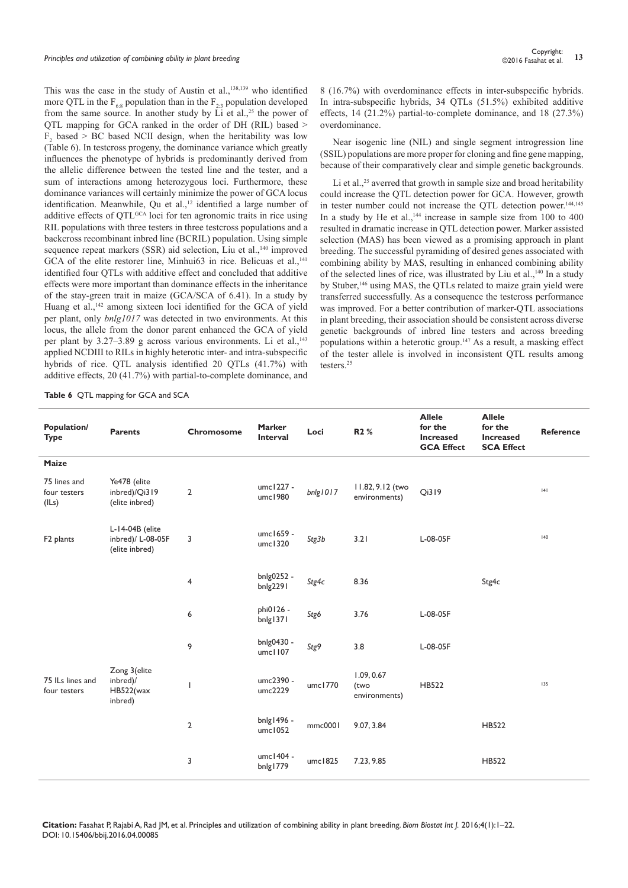This was the case in the study of Austin et al.,<sup>138,139</sup> who identified more QTL in the  $F_{68}$  population than in the  $F_{23}$  population developed from the same source. In another study by  $\overrightarrow{Li}$  et al.,<sup>25</sup> the power of QTL mapping for GCA ranked in the order of DH (RIL) based >  $F_2$  based > BC based NCII design, when the heritability was low (Table 6). In testcross progeny, the dominance variance which greatly influences the phenotype of hybrids is predominantly derived from the allelic difference between the tested line and the tester, and a sum of interactions among heterozygous loci. Furthermore, these dominance variances will certainly minimize the power of GCA locus identification. Meanwhile, Qu et al.,<sup>12</sup> identified a large number of additive effects of OTL<sup>GCA</sup> loci for ten agronomic traits in rice using RIL populations with three testers in three testcross populations and a backcross recombinant inbred line (BCRIL) population. Using simple sequence repeat markers (SSR) aid selection, Liu et al.,<sup>140</sup> improved GCA of the elite restorer line, Minhui63 in rice. Belicuas et al.,<sup>141</sup> identified four QTLs with additive effect and concluded that additive effects were more important than dominance effects in the inheritance of the stay-green trait in maize (GCA/SCA of 6.41). In a study by Huang et al.,<sup>142</sup> among sixteen loci identified for the GCA of yield per plant, only *bnlg1017* was detected in two environments. At this locus, the allele from the donor parent enhanced the GCA of yield per plant by  $3.27-3.89$  g across various environments. Li et al.,<sup>143</sup> applied NCDIII to RILs in highly heterotic inter- and intra-subspecific hybrids of rice. QTL analysis identified 20 QTLs (41.7%) with additive effects, 20 (41.7%) with partial-to-complete dominance, and

8 (16.7%) with overdominance effects in inter-subspecific hybrids. In intra-subspecific hybrids, 34 QTLs (51.5%) exhibited additive effects, 14 (21.2%) partial-to-complete dominance, and 18 (27.3%) overdominance.

Near isogenic line (NIL) and single segment introgression line (SSIL) populations are more proper for cloning and fine gene mapping, because of their comparatively clear and simple genetic backgrounds.

Li et al.,<sup>25</sup> averred that growth in sample size and broad heritability could increase the QTL detection power for GCA. However, growth in tester number could not increase the QTL detection power.144,145 In a study by He et al.,<sup>144</sup> increase in sample size from  $100$  to  $400$ resulted in dramatic increase in QTL detection power. Marker assisted selection (MAS) has been viewed as a promising approach in plant breeding. The successful pyramiding of desired genes associated with combining ability by MAS, resulting in enhanced combining ability of the selected lines of rice, was illustrated by Liu et al.,<sup>140</sup> In a study by Stuber,<sup>146</sup> using MAS, the QTLs related to maize grain yield were transferred successfully. As a consequence the testcross performance was improved. For a better contribution of marker-QTL associations in plant breeding, their association should be consistent across diverse genetic backgrounds of inbred line testers and across breeding populations within a heterotic group.<sup>147</sup> As a result, a masking effect of the tester allele is involved in inconsistent QTL results among testers<sup>25</sup>

**Table 6** QTL mapping for GCA and SCA

| Population/<br><b>Type</b>            | Parents                                                | Chromosome              | <b>Marker</b><br>Interval | Loci     | R2 %                                | <b>Allele</b><br>for the<br><b>Increased</b><br><b>GCA Effect</b> | <b>Allele</b><br>for the<br><b>Increased</b><br><b>SCA Effect</b> | Reference |
|---------------------------------------|--------------------------------------------------------|-------------------------|---------------------------|----------|-------------------------------------|-------------------------------------------------------------------|-------------------------------------------------------------------|-----------|
| Maize                                 |                                                        |                         |                           |          |                                     |                                                                   |                                                                   |           |
| 75 lines and<br>four testers<br>(ILs) | Ye478 (elite<br>inbred)/Qi319<br>(elite inbred)        | $\mathbf{2}$            | umc1227 -<br>umc1980      | bnlg1017 | 11.82, 9.12 (two<br>environments)   | Qi319                                                             |                                                                   | 4         |
| F <sub>2</sub> plants                 | L-14-04B (elite<br>inbred)/ L-08-05F<br>(elite inbred) | 3                       | umc1659 -<br>umc1320      | Stg3b    | 3.21                                | L-08-05F                                                          |                                                                   | 140       |
|                                       |                                                        | $\overline{\mathbf{4}}$ | bnlg0252 -<br>bnlg2291    | Stg4c    | 8.36                                |                                                                   | Stg4c                                                             |           |
|                                       |                                                        | 6                       | phi0126 -<br>bnlg1371     | Stg6     | 3.76                                | L-08-05F                                                          |                                                                   |           |
|                                       |                                                        | 9                       | bnlg0430 -<br>umc1107     | Stg9     | 3.8                                 | L-08-05F                                                          |                                                                   |           |
| 75 ILs lines and<br>four testers      | Zong 3(elite<br>inbred)/<br>HB522(wax<br>inbred)       |                         | umc2390 -<br>umc2229      | umc1770  | 1.09, 0.67<br>(two<br>environments) | HB522                                                             |                                                                   | 135       |
|                                       |                                                        | $\overline{2}$          | bnlg1496 -<br>umc1052     | mmc0001  | 9.07, 3.84                          |                                                                   | HB522                                                             |           |
|                                       |                                                        | 3                       | umc1404 -<br>bnlg1779     | umc1825  | 7.23, 9.85                          |                                                                   | <b>HB522</b>                                                      |           |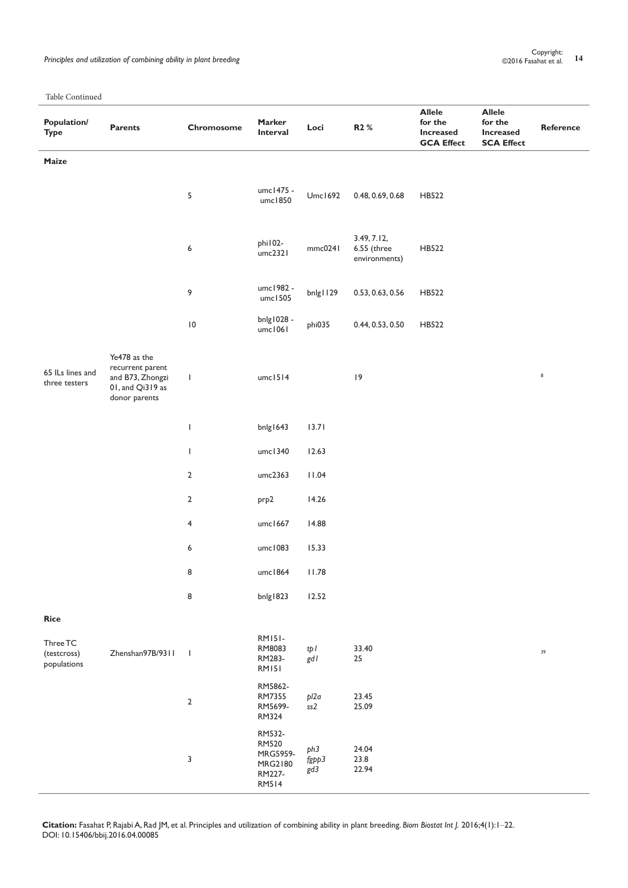Principles and utilization of combining ability in plant breeding **14** Copyright: **14** Copyright: **14** Copyright: **14** Copyright: **14** Copyright: **14** Copyright: **14** Copyright: **14** Copyright: **14** Copyright: **14** Copyrig

Table Continued

| <b>Population/</b><br><b>Type</b>      | <b>Parents</b>                                                                            | Chromosome               | <b>Marker</b><br>Interval                                               | Loci                            | R2 %                                          | <b>Allele</b><br>for the<br><b>Increased</b><br><b>GCA Effect</b> | <b>Allele</b><br>for the<br><b>Increased</b><br><b>SCA Effect</b> | Reference |
|----------------------------------------|-------------------------------------------------------------------------------------------|--------------------------|-------------------------------------------------------------------------|---------------------------------|-----------------------------------------------|-------------------------------------------------------------------|-------------------------------------------------------------------|-----------|
| Maize                                  |                                                                                           |                          |                                                                         |                                 |                                               |                                                                   |                                                                   |           |
|                                        |                                                                                           | 5                        | umc1475 -<br>umc1850                                                    | Umc1692                         | 0.48, 0.69, 0.68                              | HB522                                                             |                                                                   |           |
|                                        |                                                                                           | 6                        | phi102-<br>umc2321                                                      | mmc0241                         | 3.49, 7.12,<br>$6.55$ (three<br>environments) | HB522                                                             |                                                                   |           |
|                                        |                                                                                           | 9                        | umc1982 -<br>umc1505                                                    | bnlg I 129                      | 0.53, 0.63, 0.56                              | HB522                                                             |                                                                   |           |
|                                        |                                                                                           | $\,10$                   | bnlg1028 -<br>umc1061                                                   | phi035                          | 0.44, 0.53, 0.50                              | HB522                                                             |                                                                   |           |
| 65 ILs lines and<br>three testers      | Ye478 as the<br>recurrent parent<br>and B73, Zhongzi<br>01, and Qi319 as<br>donor parents | $\mathbf{I}$             | umcl514                                                                 |                                 | 9                                             |                                                                   |                                                                   | $\bf 8$   |
|                                        |                                                                                           | $\overline{\phantom{a}}$ | bnlg1643                                                                | 13.71                           |                                               |                                                                   |                                                                   |           |
|                                        |                                                                                           | $\mathbf{I}$             | umc1340                                                                 | 12.63                           |                                               |                                                                   |                                                                   |           |
|                                        |                                                                                           | $\overline{2}$           | umc2363                                                                 | 11.04                           |                                               |                                                                   |                                                                   |           |
|                                        |                                                                                           | $\overline{2}$           | prp2                                                                    | 14.26                           |                                               |                                                                   |                                                                   |           |
|                                        |                                                                                           | 4                        | umc1667                                                                 | 14.88                           |                                               |                                                                   |                                                                   |           |
|                                        |                                                                                           | 6                        | umc1083                                                                 | 15.33                           |                                               |                                                                   |                                                                   |           |
|                                        |                                                                                           | 8                        | umc1864                                                                 | 11.78                           |                                               |                                                                   |                                                                   |           |
|                                        |                                                                                           | 8                        | bnlg I823                                                               | 12.52                           |                                               |                                                                   |                                                                   |           |
| <b>Rice</b>                            |                                                                                           |                          |                                                                         |                                 |                                               |                                                                   |                                                                   |           |
| Three TC<br>(testcross)<br>populations | Zhenshan97B/9311                                                                          | $\mathbf{I}$             | <b>RM151-</b><br>RM8083<br>RM283-<br><b>RM151</b>                       | tpI<br>gdl                      | 33.40<br>25                                   |                                                                   |                                                                   | 39        |
|                                        |                                                                                           | $\mathbf{2}$             | RM5862-<br>RM7355<br>RM5699-<br>RM324                                   | pl2a<br>ss2                     | 23.45<br>25.09                                |                                                                   |                                                                   |           |
|                                        |                                                                                           | 3                        | RM532-<br><b>RM520</b><br>MRG5959-<br>MRG2180<br>RM227-<br><b>RM514</b> | ph <sub>3</sub><br>fgpp3<br>gd3 | 24.04<br>23.8<br>22.94                        |                                                                   |                                                                   |           |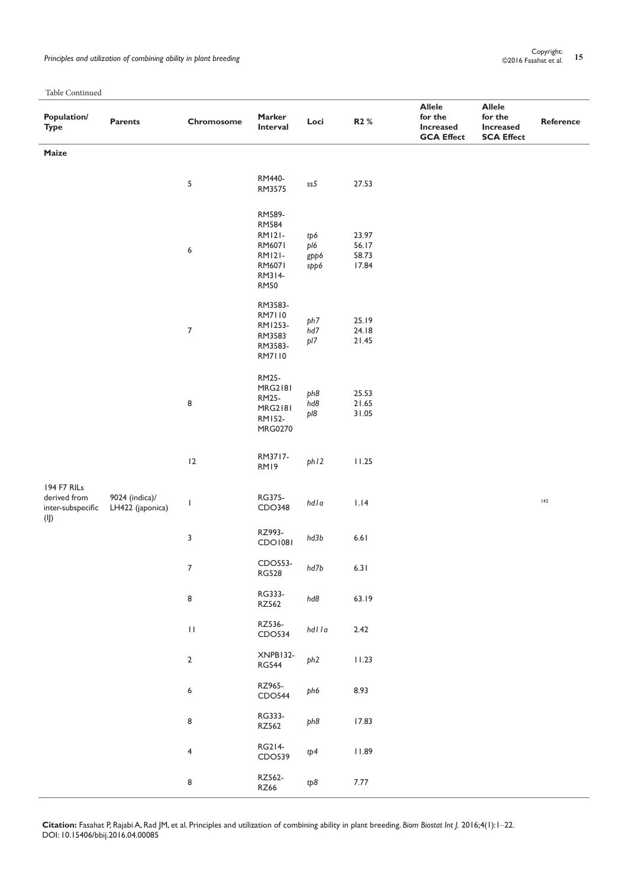# <sup>Lopyright:</sup><br>Principles and utilization of combining ability in plant breeding **15** Copyright: **15** Copyright: **15** Copyright:

Table Continued

| THOTA ODITIONAL<br>Population/<br><b>Type</b>    | Parents                            | Chromosome       | Marker<br>Interval                                                                                    | Loci                       | R2 %                             | <b>Allele</b><br>for the<br><b>Increased</b><br><b>GCA Effect</b> | <b>Allele</b><br>for the<br><b>Increased</b><br><b>SCA Effect</b> | Reference    |
|--------------------------------------------------|------------------------------------|------------------|-------------------------------------------------------------------------------------------------------|----------------------------|----------------------------------|-------------------------------------------------------------------|-------------------------------------------------------------------|--------------|
| Maize                                            |                                    |                  |                                                                                                       |                            |                                  |                                                                   |                                                                   |              |
|                                                  |                                    | 5                | RM440-<br>RM3575                                                                                      | ss5                        | 27.53                            |                                                                   |                                                                   |              |
|                                                  |                                    | 6                | RM589-<br><b>RM584</b><br><b>RM121-</b><br>RM6071<br><b>RM121-</b><br>RM6071<br>RM314-<br><b>RM50</b> | tp6<br>pl6<br>gpp6<br>spp6 | 23.97<br>56.17<br>58.73<br>17.84 |                                                                   |                                                                   |              |
|                                                  |                                    | $\boldsymbol{7}$ | RM3583-<br>RM7110<br>RM1253-<br>RM3583<br>RM3583-<br>RM7110                                           | ph7<br>hd7<br>pl7          | 25.19<br>24.18<br>21.45          |                                                                   |                                                                   |              |
|                                                  |                                    | 8                | RM25-<br><b>MRG2181</b><br>RM25-<br><b>MRG2181</b><br>RM152-<br>MRG0270                               | ph8<br>hd8<br>pl8          | 25.53<br>21.65<br>31.05          |                                                                   |                                                                   |              |
|                                                  |                                    | 12               | RM3717-<br>RM19                                                                                       | ph12                       | 11.25                            |                                                                   |                                                                   |              |
| 194 F7 RILs<br>derived from<br>inter-subspecific | 9024 (indica)/<br>LH422 (japonica) | $\mathsf{I}$     | RG375-<br>CDO348                                                                                      | $hdla$                     | 1.14                             |                                                                   |                                                                   | $\sqrt{142}$ |
| $($ l $)$                                        |                                    | 3                | RZ993-<br>CDO1081                                                                                     | hd3b                       | $6.61$                           |                                                                   |                                                                   |              |
|                                                  |                                    | $\overline{7}$   | CDO553-<br><b>RG528</b>                                                                               | hd7b                       | 6.31                             |                                                                   |                                                                   |              |
|                                                  |                                    | 8                | RG333-<br>RZ562                                                                                       | hd8                        | 63.19                            |                                                                   |                                                                   |              |
|                                                  |                                    | $\mathbf{H}$     | RZ536-<br>CDO534                                                                                      | hdlla                      | 2.42                             |                                                                   |                                                                   |              |
|                                                  |                                    | $\mathbf{2}$     | XNPB132-<br><b>RG544</b>                                                                              | ph <sub>2</sub>            | 11.23                            |                                                                   |                                                                   |              |
|                                                  |                                    | 6                | RZ965-<br>CDO544                                                                                      | ph6                        | 8.93                             |                                                                   |                                                                   |              |
|                                                  |                                    | 8                | RG333-<br>RZ562                                                                                       | ph8                        | 17.83                            |                                                                   |                                                                   |              |
|                                                  |                                    | 4                | RG214-<br>CDO539                                                                                      | tp4                        | 11.89                            |                                                                   |                                                                   |              |
|                                                  |                                    | 8                | RZ562-<br>RZ66                                                                                        | tp8                        | $7.77\,$                         |                                                                   |                                                                   |              |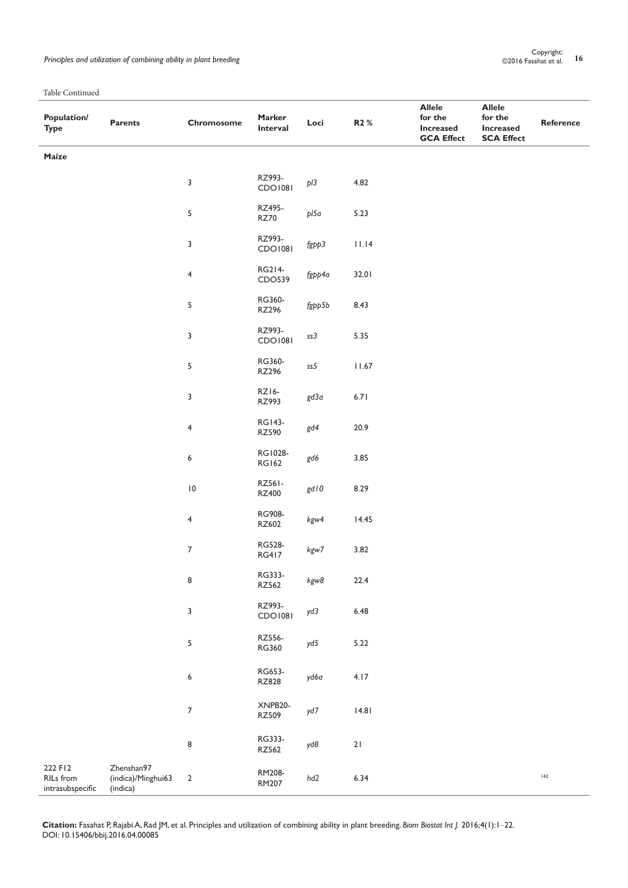| <b>Population/</b><br><b>Type</b>        | Parents                                      | Chromosome       | Marker<br>Interval       | Loci   | R2 %           | <b>Allele</b><br>for the<br><b>Increased</b><br><b>GCA Effect</b> | <b>Allele</b><br>for the<br><b>Increased</b><br><b>SCA Effect</b> | Reference |
|------------------------------------------|----------------------------------------------|------------------|--------------------------|--------|----------------|-------------------------------------------------------------------|-------------------------------------------------------------------|-----------|
| Maize                                    |                                              |                  |                          |        |                |                                                                   |                                                                   |           |
|                                          |                                              | $\mathbf{3}$     | RZ993-<br>CDO1081        | pI3    | 4.82           |                                                                   |                                                                   |           |
|                                          |                                              | $\sqrt{5}$       | RZ495-<br><b>RZ70</b>    | pl5a   | 5.23           |                                                                   |                                                                   |           |
|                                          |                                              | $\mathsf 3$      | RZ993-<br><b>CDO1081</b> | fgpp3  | 11.14          |                                                                   |                                                                   |           |
|                                          |                                              | $\overline{4}$   | RG214-<br>CDO539         | fgpp4a | 32.01          |                                                                   |                                                                   |           |
|                                          |                                              | $\sqrt{5}$       | RG360-<br>RZ296          | fgpp5b | 8.43           |                                                                   |                                                                   |           |
|                                          |                                              | $\mathbf{3}$     | RZ993-<br>CDO1081        | ss3    | 5.35           |                                                                   |                                                                   |           |
|                                          |                                              | $\sf 5$          | RG360-<br>RZ296          | ss5    | $\vert\,$ 1.67 |                                                                   |                                                                   |           |
|                                          |                                              | $\mathsf 3$      | RZ16-<br>RZ993           | gd3a   | $6.71$         |                                                                   |                                                                   |           |
|                                          |                                              | $\overline{4}$   | RG143-<br><b>RZ590</b>   | gd4    | 20.9           |                                                                   |                                                                   |           |
|                                          |                                              | $\boldsymbol{6}$ | RG1028-<br><b>RG162</b>  | gd6    | 3.85           |                                                                   |                                                                   |           |
|                                          |                                              | $\,$ l $\,$      | RZ561-<br><b>RZ400</b>   | gd   0 | 8.29           |                                                                   |                                                                   |           |
|                                          |                                              | $\overline{4}$   | RG908-<br>RZ602          | kgw4   | 14.45          |                                                                   |                                                                   |           |
|                                          |                                              | $\boldsymbol{7}$ | RG528-<br><b>RG417</b>   | kgw7   | 3.82           |                                                                   |                                                                   |           |
|                                          |                                              | 8                | RG333-<br>RZ562          | $kgw8$ | 22.4           |                                                                   |                                                                   |           |
|                                          |                                              | $\mathbf{3}$     | RZ993-<br>CDO1081        | yd3    | 6.48           |                                                                   |                                                                   |           |
|                                          |                                              | 5                | RZ556-<br><b>RG360</b>   | yd5    | 5.22           |                                                                   |                                                                   |           |
|                                          |                                              | $\boldsymbol{6}$ | RG653-<br>RZ828          | yd6a   | 4.17           |                                                                   |                                                                   |           |
|                                          |                                              | $\boldsymbol{7}$ | XNPB20-<br><b>RZ509</b>  | yd7    | 4.8            |                                                                   |                                                                   |           |
|                                          |                                              | 8                | RG333-<br>RZ562          | yd8    | $21$           |                                                                   |                                                                   |           |
| 222 F12<br>RILs from<br>intrasubspecific | Zhenshan97<br>(indica)/Minghui63<br>(indica) | $\sqrt{2}$       | RM208-<br>RM207          | hd2    | 6.34           |                                                                   |                                                                   | $142$     |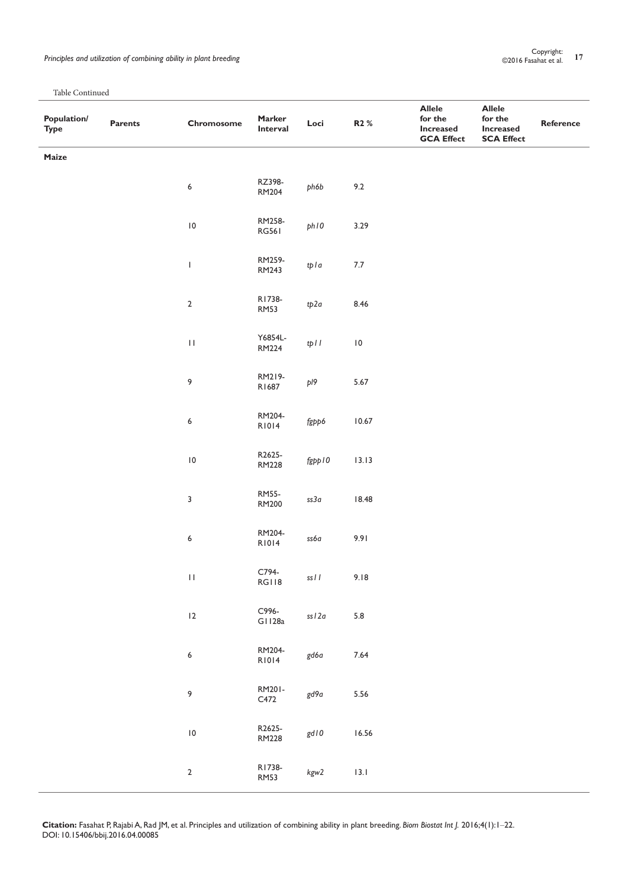| ------ ------<br>Population/<br><b>Type</b> | Parents | Chromosome         | Marker<br>Interval     | Loci     | R2 %        | <b>Allele</b><br>for the<br><b>Increased</b><br><b>GCA Effect</b> | <b>Allele</b><br>for the<br><b>Increased</b><br><b>SCA Effect</b> | Reference |
|---------------------------------------------|---------|--------------------|------------------------|----------|-------------|-------------------------------------------------------------------|-------------------------------------------------------------------|-----------|
| Maize                                       |         |                    |                        |          |             |                                                                   |                                                                   |           |
|                                             |         | $\boldsymbol{6}$   | RZ398-<br>RM204        | ph6b     | 9.2         |                                                                   |                                                                   |           |
|                                             |         | $\,$ l $\,$ 0 $\,$ | RM258-<br><b>RG561</b> | phIO     | 3.29        |                                                                   |                                                                   |           |
|                                             |         | $\mathbf{I}$       | RM259-<br>RM243        | tpla     | $7.7\,$     |                                                                   |                                                                   |           |
|                                             |         | $\mathbf 2$        | R1738-<br><b>RM53</b>  | tp2a     | 8.46        |                                                                   |                                                                   |           |
|                                             |         | $\mathbf{H}$       | Y6854L-<br>RM224       | tpll     | $\,$ l $\,$ |                                                                   |                                                                   |           |
|                                             |         | $\,9$              | RM219-<br>R1687        | pl9      | 5.67        |                                                                   |                                                                   |           |
|                                             |         | $\boldsymbol{6}$   | RM204-<br>R1014        | fgpp6    | $10.67$     |                                                                   |                                                                   |           |
|                                             |         | $\, 10$            | R2625-<br><b>RM228</b> | fgpp10   | 13.13       |                                                                   |                                                                   |           |
|                                             |         | $\mathsf 3$        | <b>RM55-</b><br>RM200  | ss3a     | $18.48$     |                                                                   |                                                                   |           |
|                                             |         | 6                  | RM204-<br>R1014        | ss6a     | 9.91        |                                                                   |                                                                   |           |
|                                             |         | $\mathbf{H}$       | C794-<br>RGI 18        | $ssI\ I$ | 9.18        |                                                                   |                                                                   |           |
|                                             |         | 12                 | C996-<br>G1128a        | $ssl2a$  | 5.8         |                                                                   |                                                                   |           |
|                                             |         | 6                  | RM204-<br>R1014        | gd6a     | $7.64$      |                                                                   |                                                                   |           |
|                                             |         | 9                  | RM201-<br>C472         | gd9a     | $5.56\,$    |                                                                   |                                                                   |           |
|                                             |         | $\,$ l $\,$ 0 $\,$ | R2625-<br><b>RM228</b> | gd I O   | $16.56$     |                                                                   |                                                                   |           |
|                                             |         | $\sqrt{2}$         | R1738-<br><b>RM53</b>  | kgw2     | $13.1\,$    |                                                                   |                                                                   |           |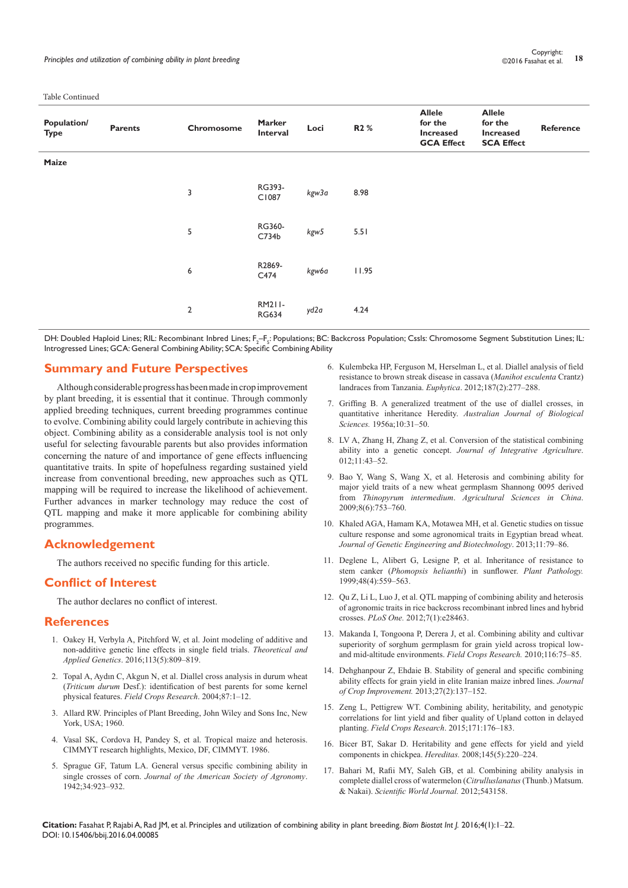| Population/<br><b>Type</b> | <b>Parents</b> | Chromosome     | <b>Marker</b><br>Interval | Loci  | R <sub>2</sub> % | <b>Allele</b><br>for the<br><b>Increased</b><br><b>GCA Effect</b> | <b>Allele</b><br>for the<br><b>Increased</b><br><b>SCA Effect</b> | Reference |
|----------------------------|----------------|----------------|---------------------------|-------|------------------|-------------------------------------------------------------------|-------------------------------------------------------------------|-----------|
| Maize                      |                |                |                           |       |                  |                                                                   |                                                                   |           |
|                            |                | 3              | RG393-<br>C1087           | kgw3a | 8.98             |                                                                   |                                                                   |           |
|                            |                | 5              | RG360-<br>C734b           | kgw5  | 5.51             |                                                                   |                                                                   |           |
|                            |                | 6              | R2869-<br>C474            | kgw6a | 11.95            |                                                                   |                                                                   |           |
|                            |                | $\overline{2}$ | RM211-<br><b>RG634</b>    | yd2a  | 4.24             |                                                                   |                                                                   |           |

DH: Doubled Haploid Lines; RIL: Recombinant Inbred Lines; F<sub>2</sub>-F<sub>5</sub>: Populations; BC: Backcross Population; Cssls: Chromosome Segment Substitution Lines; IL: Introgressed Lines; GCA: General Combining Ability; SCA: Specific Combining Ability

#### **Summary and Future Perspectives**

Although considerable progress has been made in crop improvement by plant breeding, it is essential that it continue. Through commonly applied breeding techniques, current breeding programmes continue to evolve. Combining ability could largely contribute in achieving this object. Combining ability as a considerable analysis tool is not only useful for selecting favourable parents but also provides information concerning the nature of and importance of gene effects influencing quantitative traits. In spite of hopefulness regarding sustained yield increase from conventional breeding, new approaches such as QTL mapping will be required to increase the likelihood of achievement. Further advances in marker technology may reduce the cost of QTL mapping and make it more applicable for combining ability programmes.

# **Acknowledgement**

The authors received no specific funding for this article.

# **Conflict of Interest**

The author declares no conflict of interest.

# **References**

- 1. [Oakey H, Verbyla A, Pitchford W, et al. Joint modeling of additive and](http://link.springer.com/article/10.1007/s00122-006-0333-z)  [non-additive genetic line effects in single field trials.](http://link.springer.com/article/10.1007/s00122-006-0333-z) *Theoretical and Applied Genetics*[. 2016;113\(5\):809–819.](http://link.springer.com/article/10.1007/s00122-006-0333-z)
- 2. [Topal A, Aydın C, Akgun N, et al. Diallel cross analysis in durum wheat](https://www.deepdyve.com/lp/elsevier/diallel-cross-analysis-in-durum-wheat-triticum-durum-desf-06Z2jLPKtw)  (*Triticum durum* [Desf.\): identification of best parents for some kernel](https://www.deepdyve.com/lp/elsevier/diallel-cross-analysis-in-durum-wheat-triticum-durum-desf-06Z2jLPKtw)  physical features. *[Field Crops Research](https://www.deepdyve.com/lp/elsevier/diallel-cross-analysis-in-durum-wheat-triticum-durum-desf-06Z2jLPKtw)*. 2004;87:1–12.
- 3. Allard RW. Principles of Plant Breeding, John Wiley and Sons Inc, New York, USA; 1960.
- 4. Vasal SK, Cordova H, Pandey S, et al. Tropical maize and heterosis. CIMMYT research highlights, Mexico, DF, CIMMYT. 1986.
- 5. Sprague GF, Tatum LA. General versus specific combining ability in single crosses of corn. *Journal of the American Society of Agronomy*. 1942;34:923–932.
- 6. [Kulembeka HP, Ferguson M, Herselman L, et al. Diallel analysis of field](http://link.springer.com/article/10.1007%2Fs10681-012-0730-0)  [resistance to brown streak disease in cassava \(](http://link.springer.com/article/10.1007%2Fs10681-012-0730-0)*Manihot esculenta* Crantz) [landraces from Tanzania.](http://link.springer.com/article/10.1007%2Fs10681-012-0730-0) *Euphytica*. 2012;187(2):277–288.
- 7. Griffing B. A generalized treatment of the use of diallel crosses, in quantitative inheritance Heredity. *Australian Journal of Biological Sciences.* 1956a;10:31–50.
- 8. LV A, Zhang H, Zhang Z, et al. Conversion of the statistical combining ability into a genetic concept. *Journal of Integrative Agriculture*. 012;11:43–52.
- 9. [Bao Y, Wang S, Wang X, et al. Heterosis and combining ability for](https://www.infona.pl/resource/bwmeta1.element.elsevier-5948f1d1-ceb3-3f11-9130-ff41da34ed65)  [major yield traits of a new wheat germplasm Shannong 0095 derived](https://www.infona.pl/resource/bwmeta1.element.elsevier-5948f1d1-ceb3-3f11-9130-ff41da34ed65)  from *Thinopyrum intermedium*. *[Agricultural Sciences in China](https://www.infona.pl/resource/bwmeta1.element.elsevier-5948f1d1-ceb3-3f11-9130-ff41da34ed65)*. [2009;8\(6\):753–760.](https://www.infona.pl/resource/bwmeta1.element.elsevier-5948f1d1-ceb3-3f11-9130-ff41da34ed65)
- 10. Khaled AGA, Hamam KA, Motawea MH, et al. Genetic studies on tissue culture response and some agronomical traits in Egyptian bread wheat. *Journal of Genetic Engineering and Biotechnology*. 2013;11:79–86.
- 11. [Deglene L, Alibert G, Lesigne P, et al. Inheritance of resistance to](http://onlinelibrary.wiley.com/doi/10.1046/j.1365-3059.1999.00375.x/full)  stem canker (*[Phomopsis helianthi](http://onlinelibrary.wiley.com/doi/10.1046/j.1365-3059.1999.00375.x/full)*) in sunflower. *Plant Pathology.*  [1999;48\(4\):559–563.](http://onlinelibrary.wiley.com/doi/10.1046/j.1365-3059.1999.00375.x/full)
- 12. [Qu Z, Li L, Luo J, et al. QTL mapping of combining ability and heterosis](http://www.ncbi.nlm.nih.gov/pubmed/22291881)  [of agronomic traits in rice backcross recombinant inbred lines and hybrid](http://www.ncbi.nlm.nih.gov/pubmed/22291881)  crosses. *PLoS One.* [2012;7\(1\):e28463.](http://www.ncbi.nlm.nih.gov/pubmed/22291881)
- 13. Makanda I, Tongoona P, Derera J, et al. Combining ability and cultivar superiority of sorghum germplasm for grain yield across tropical lowand mid-altitude environments. *Field Crops Research.* 2010;116:75–85.
- 14. [Dehghanpour Z, Ehdaie B. Stability of general and specific combining](http://www.tandfonline.com/doi/abs/10.1080/15427528.2012.745822)  [ability effects for grain yield in elite Iranian maize inbred lines.](http://www.tandfonline.com/doi/abs/10.1080/15427528.2012.745822) *Journal [of Crop Improvement.](http://www.tandfonline.com/doi/abs/10.1080/15427528.2012.745822)* 2013;27(2):137–152.
- 15. Zeng L, Pettigrew WT. Combining ability, heritability, and genotypic correlations for lint yield and fiber quality of Upland cotton in delayed planting. *Field Crops Research*. 2015;171:176–183.
- 16. [Bicer BT, Sakar D. Heritability and gene effects for yield and yield](http://www.ncbi.nlm.nih.gov/pubmed/19076689)  [components in chickpea.](http://www.ncbi.nlm.nih.gov/pubmed/19076689) *Hereditas.* 2008;145(5):220–224.
- 17. [Bahari M, Rafii MY, Saleh GB, et al. Combining ability analysis in](http://www.ncbi.nlm.nih.gov/pubmed/22566772/)  [complete diallel cross of watermelon \(](http://www.ncbi.nlm.nih.gov/pubmed/22566772/)*Citrulluslanatus*(Thunb.) Matsum. & Nakai). *[Scientific World Journal.](http://www.ncbi.nlm.nih.gov/pubmed/22566772/)* 2012;543158.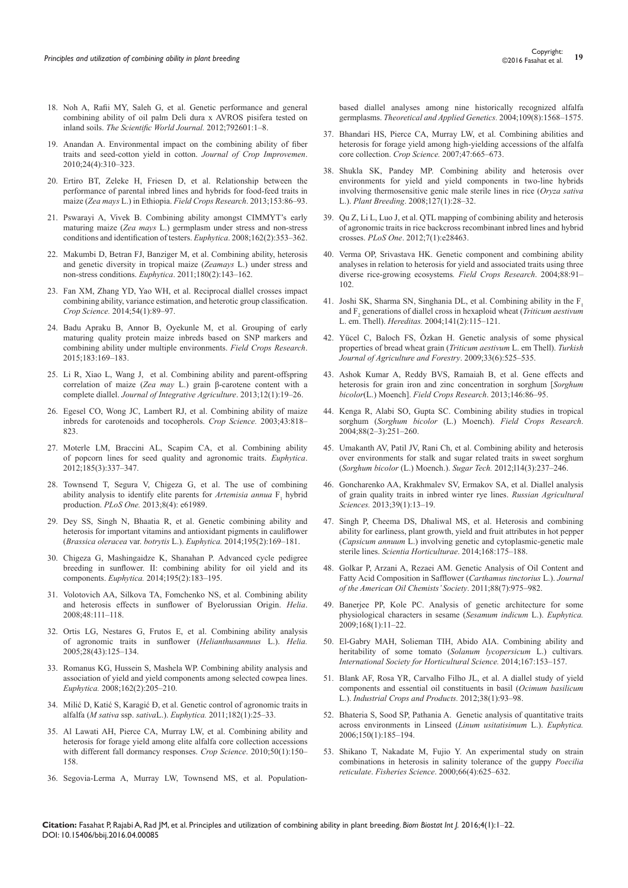- 18. [Noh A, Rafii MY, Saleh G, et al. Genetic performance and general](http://www.hindawi.com/journals/tswj/2012/792601/)  [combining ability of oil palm Deli dura x AVROS pisifera tested on](http://www.hindawi.com/journals/tswj/2012/792601/)  inland soils. *[The Scientific World Journal.](http://www.hindawi.com/journals/tswj/2012/792601/)* 2012;792601:1–8.
- 19. [Anandan A. Environmental impact on the combining ability of fiber](http://www.tandfonline.com/doi/abs/10.1080/15427528.2010.497959)  [traits and seed-cotton yield in cotton.](http://www.tandfonline.com/doi/abs/10.1080/15427528.2010.497959) *Journal of Crop Improvemen*. [2010;24\(4\):310–323.](http://www.tandfonline.com/doi/abs/10.1080/15427528.2010.497959)
- 20. [Ertiro BT, Zeleke H, Friesen D, et al. Relationship between the](http://libcatalog.cimmyt.org/download/cis/98234.pdf)  [performance of parental inbred lines and hybrids for food-feed traits in](http://libcatalog.cimmyt.org/download/cis/98234.pdf)  maize (*Zea mays* L.) in Ethiopia. *[Field Crops Research](http://libcatalog.cimmyt.org/download/cis/98234.pdf)*. 2013;153:86–93.
- 21. [Pswarayi A, Vivek B. Combining ability amongst CIMMYT's early](http://repository.cimmyt.org/xmlui/handle/10883/3066?locale-attribute=en)  maturing maize (*Zea mays* [L.\) germplasm under stress and non-stress](http://repository.cimmyt.org/xmlui/handle/10883/3066?locale-attribute=en)  [conditions and identification of testers.](http://repository.cimmyt.org/xmlui/handle/10883/3066?locale-attribute=en) *Euphytica*. 2008;162(2):353–362.
- 22. [Makumbi D, Betran FJ, Banziger M, et al. Combining ability, heterosis](http://repository.cimmyt.org/xmlui/handle/10883/3137?locale-attribute=en)  [and genetic diversity in tropical maize \(](http://repository.cimmyt.org/xmlui/handle/10883/3137?locale-attribute=en)*Zeamays* L.) under stress and non-stress conditions. *Euphytica*[. 2011;180\(2\):143–162.](http://repository.cimmyt.org/xmlui/handle/10883/3137?locale-attribute=en)
- 23. [Fan XM, Zhang YD, Yao WH, et al. Reciprocal diallel crosses impact](https://dl.sciencesocieties.org/publications/cs/abstracts/54/1/89)  [combining ability, variance estimation, and heterotic group classification.](https://dl.sciencesocieties.org/publications/cs/abstracts/54/1/89)  *Crop Science.* [2014;54\(1\):89–97.](https://dl.sciencesocieties.org/publications/cs/abstracts/54/1/89)
- 24. Badu Apraku B, Annor B, [Oyekunle M, et al.](https://cgspace.cgiar.org/handle/10568/73026) Grouping of early [maturing quality protein maize inbreds based on SNP markers and](https://cgspace.cgiar.org/handle/10568/73026)  [combining ability under multiple environments.](https://cgspace.cgiar.org/handle/10568/73026) *Field Crops Research*. [2015;183:169–183.](https://cgspace.cgiar.org/handle/10568/73026)
- 25. [Li R, Xiao L, Wang J, et al. Combining ability and parent-offspring](http://maize.sicau.edu.cn/?papers=2111)  correlation of maize (*Zea may* L.) grain β[-carotene content with a](http://maize.sicau.edu.cn/?papers=2111)  complete diallel. *[Journal of Integrative Agriculture](http://maize.sicau.edu.cn/?papers=2111)*. 2013;12(1):19–26.
- 26. Egesel CO, Wong JC, Lambert RJ, et al. Combining ability of maize inbreds for carotenoids and tocopherols. *Crop Science.* 2003;43:818– 823.
- 27. [Moterle LM, Braccini AL, Scapim CA, et al. Combining ability](http://link.springer.com/article/10.1007/s10681-011-0458-2)  [of popcorn lines for seed quality and agronomic traits.](http://link.springer.com/article/10.1007/s10681-011-0458-2) *Euphytica*. [2012;185\(3\):337–347.](http://link.springer.com/article/10.1007/s10681-011-0458-2)
- 28. [Townsend T, Segura V, Chigeza G, et al. The use of combining](http://www.ncbi.nlm.nih.gov/pubmed/23626762)  [ability analysis to identify elite parents for](http://www.ncbi.nlm.nih.gov/pubmed/23626762) *Artemisia annua* F, hybrid production. *PLoS One.* [2013;8\(4\): e61989.](http://www.ncbi.nlm.nih.gov/pubmed/23626762)
- 29. [Dey SS, Singh N, Bhaatia R, et al. Genetic combining ability and](http://link.springer.com/article/10.1007%2Fs10681-013-0981-4)  [heterosis for important vitamins and antioxidant pigments in cauliflower](http://link.springer.com/article/10.1007%2Fs10681-013-0981-4)  (*Brassica oleracea* var. *botrytis* L.). *Euphytica.* [2014;195\(2\):169–181.](http://link.springer.com/article/10.1007%2Fs10681-013-0981-4)
- 30. [Chigeza G, Mashingaidze K, Shanahan P. Advanced cycle pedigree](http://link.springer.com/article/10.1007%2Fs10681-013-0985-0)  [breeding in sunflower. II: combining ability for oil yield and its](http://link.springer.com/article/10.1007%2Fs10681-013-0985-0)  components. *Euphytica.* [2014;195\(2\):183–195.](http://link.springer.com/article/10.1007%2Fs10681-013-0985-0)
- 31. [Volotovich AA, Silkova TA, Fomchenko NS, et al. Combining ability](http://www.doiserbia.nb.rs/img/doi/1018-1806/2008/1018-18060848111V.pdf)  [and heterosis effects in sunflower of Byelorussian Origin.](http://www.doiserbia.nb.rs/img/doi/1018-1806/2008/1018-18060848111V.pdf) *Helia*. [2008;48:111–118.](http://www.doiserbia.nb.rs/img/doi/1018-1806/2008/1018-18060848111V.pdf)
- 32. [Ortis LG, Nestares G, Frutos E, et al. Combining ability analysis](http://www.doiserbia.nb.rs/img/doi/1018-1806/2005/1018-18060543125O.pdf)  [of agronomic traits in sunflower \(](http://www.doiserbia.nb.rs/img/doi/1018-1806/2005/1018-18060543125O.pdf)*Helianthusannuus* L.). *Helia.* [2005;28\(43\):125–134.](http://www.doiserbia.nb.rs/img/doi/1018-1806/2005/1018-18060543125O.pdf)
- 33. [Romanus KG, Hussein S, Mashela WP. Combining ability analysis and](http://link.springer.com/article/10.1007%2Fs10681-007-9512-5)  [association of yield and yield components among selected cowpea lines.](http://link.springer.com/article/10.1007%2Fs10681-007-9512-5)  *Euphytica.* [2008;162\(2\):205–210.](http://link.springer.com/article/10.1007%2Fs10681-007-9512-5)
- 34. Milić D, Katić S, Karagić [Đ, et al. Genetic control of agronomic traits in](http://link.springer.com/article/10.1007%2Fs10681-011-0434-x)  alfalfa (*M sativa* ssp. *sativa*L.). *Euphytica.* [2011;182\(1\):25–33.](http://link.springer.com/article/10.1007%2Fs10681-011-0434-x)
- 35. Al Lawati AH, Pierce CA, Murray LW, et al. Combining ability and heterosis for forage yield among elite alfalfa core collection accessions with different fall dormancy responses. *Crop Science*. 2010;50(1):150– 158.
- 36. Segovia-Lerma [A, Murray LW, Townsend MS, et al. Population-](http://link.springer.com/article/10.1007%2Fs00122-004-1784-8)

[based diallel analyses among nine historically recognized alfalfa](http://link.springer.com/article/10.1007%2Fs00122-004-1784-8)  germplasms. *[Theoretical and Applied Genetics.](http://link.springer.com/article/10.1007%2Fs00122-004-1784-8)* 2004;109(8):1568–1575.

- 37. [Bhandari HS, Pierce CA, Murray LW, et al. Combining abilities and](http://agris.fao.org/agris-search/search.do?recordID=US201300764992)  [heterosis for forage yield among high-yielding accessions of the alfalfa](http://agris.fao.org/agris-search/search.do?recordID=US201300764992)  core collection. *Crop Science.* [2007;47:665–673.](http://agris.fao.org/agris-search/search.do?recordID=US201300764992)
- 38. [Shukla SK, Pandey MP. Combining ability and heterosis over](http://onlinelibrary.wiley.com/doi/10.1111/j.1439-0523.2007.01432.x/abstract)  [environments for yield and yield components in two-line hybrids](http://onlinelibrary.wiley.com/doi/10.1111/j.1439-0523.2007.01432.x/abstract)  [involving thermosensitive genic male sterile lines in rice \(](http://onlinelibrary.wiley.com/doi/10.1111/j.1439-0523.2007.01432.x/abstract)*Oryza sativa* L.). *Plant Breeding*[. 2008;127\(1\):28–32.](http://onlinelibrary.wiley.com/doi/10.1111/j.1439-0523.2007.01432.x/abstract)
- 39. [Qu Z, Li L, Luo J, et al. QTL mapping of combining ability and heterosis](http://www.ncbi.nlm.nih.gov/pubmed/22291881)  [of agronomic traits in rice backcross recombinant inbred lines and hybrid](http://www.ncbi.nlm.nih.gov/pubmed/22291881)  crosses. *PLoS One*[. 2012;7\(1\):e28463.](http://www.ncbi.nlm.nih.gov/pubmed/22291881)
- 40. Verma OP, Srivastava HK. Genetic component and combining ability analyses in relation to heterosis for yield and associated traits using three diverse rice-growing ecosystems*. Field Crops Research*. 2004;88:91– 102.
- 41. [Joshi SK, Sharma SN, Singhania DL, et al. Combining ability in the F](http://www.ncbi.nlm.nih.gov/pubmed/15660971)<sub>1</sub> and F<sub>2</sub> [generations of diallel cross in hexaploid wheat \(](http://www.ncbi.nlm.nih.gov/pubmed/15660971)*Triticum aestivum* L. em. Thell). *Hereditas.* [2004;141\(2\):115–121.](http://www.ncbi.nlm.nih.gov/pubmed/15660971)
- 42. Yücel C, Baloch FS, Özkan [H. Genetic analysis of some physical](http://dergipark.ulakbim.gov.tr/tbtkagriculture/article/view/5000025349)  [properties of bread wheat grain \(](http://dergipark.ulakbim.gov.tr/tbtkagriculture/article/view/5000025349)*Triticum aestivum* L. em Thell). *Turkish [Journal of Agriculture and Forestry](http://dergipark.ulakbim.gov.tr/tbtkagriculture/article/view/5000025349)*. 2009;33(6):525–535.
- 43. [Ashok Kumar A, Reddy BVS, Ramaiah B, et al. Gene effects and](http://oar.icrisat.org/6738/)  [heterosis for grain iron and zinc concentration in sorghum \[](http://oar.icrisat.org/6738/)*Sorghum bicolor*(L.) Moench]. *[Field Crops Research](http://oar.icrisat.org/6738/)*. 2013;146:86–95.
- 44. [Kenga R, Alabi SO, Gupta SC. Combining ability studies in tropical](http://oar.icrisat.org/1274/)  sorghum (*Sorghum bicolor* (L.) Moench). *[Field Crops Research](http://oar.icrisat.org/1274/)*. [2004;88\(2–3\):251–260.](http://oar.icrisat.org/1274/)
- 45. [Umakanth AV, Patil JV, Rani Ch, et al. Combining ability and heterosis](http://eprints.icrisat.ac.in/9636/)  [over environments for stalk and sugar related traits in sweet sorghum](http://eprints.icrisat.ac.in/9636/)  (*Sorghum bicolor* (L.) Moench.). *Sugar Tech.* [2012;l14\(3\):237–246.](http://eprints.icrisat.ac.in/9636/)
- 46. [Goncharenko AA, Krakhmalev SV, Ermakov SA, et al. Diallel analysis](http://link.springer.com/article/10.3103%2FS1068367413010084)  [of grain quality traits in inbred winter rye lines.](http://link.springer.com/article/10.3103%2FS1068367413010084) *Russian Agricultural Sciences.* [2013;39\(1\):13–19.](http://link.springer.com/article/10.3103%2FS1068367413010084)
- 47. [Singh P, Cheema DS, Dhaliwal MS, et al. Heterosis and combining](https://www.mysciencework.com/publication/show/4ca2a144c83258ffe16a5f8cb0143e1a)  [ability for earliness, plant growth, yield and fruit attributes in hot pepper](https://www.mysciencework.com/publication/show/4ca2a144c83258ffe16a5f8cb0143e1a)  (*Capsicum annuum* [L.\) involving genetic and cytoplasmic-genetic male](https://www.mysciencework.com/publication/show/4ca2a144c83258ffe16a5f8cb0143e1a)  sterile lines. *[Scientia Horticulturae](https://www.mysciencework.com/publication/show/4ca2a144c83258ffe16a5f8cb0143e1a)*. 2014;168:175–188.
- 48. Golkar P, Arzani A, Rezaei AM. Genetic Analysis of Oil Content and Fatty Acid Composition in Safflower (*Carthamus tinctorius* L.). *Journal of the American Oil Chemists' Society*. 2011;88(7):975–982.
- 49. [Banerjee PP, Kole PC. Analysis of genetic architecture for some](http://link.springer.com/article/10.1007%2Fs10681-008-9871-6)  [physiological characters in sesame \(](http://link.springer.com/article/10.1007%2Fs10681-008-9871-6)*Sesamum indicum* L.). *Euphytica.* [2009;168\(1\):11–22.](http://link.springer.com/article/10.1007%2Fs10681-008-9871-6)
- 50. El-Gabry MAH, Solieman TIH, Abido AIA. Combining ability and heritability of some tomato (*Solanum lycopersicum* L.) cultivars*. International Society for Horticultural Science.* 2014;167:153–157.
- 51. Blank AF, Rosa YR, Carvalho Filho JL, et al. A diallel study of yield components and essential oil constituents in basil (*Ocimum basilicum* L.). *Industrial Crops and Products.* 2012;38(1):93–98.
- 52. [Bhateria S, Sood SP, Pathania A. Genetic analysis of quantitative traits](http://link.springer.com/article/10.1007%2Fs10681-006-9106-7)  [across environments in Linseed](http://link.springer.com/article/10.1007%2Fs10681-006-9106-7) (*Linum usitatisimum* L.). *Euphytica.* [2006;150\(1\):185–194.](http://link.springer.com/article/10.1007%2Fs10681-006-9106-7)
- 53. [Shikano T, Nakadate M, Fujio Y. An experimental study on strain](http://onlinelibrary.wiley.com/doi/10.1046/j.1444-2906.2000.00102.x/abstract)  [combinations in heterosis in salinity tolerance of the guppy](http://onlinelibrary.wiley.com/doi/10.1046/j.1444-2906.2000.00102.x/abstract) *Poecilia reticulate*. *Fisheries Science*[. 2000;66\(4\):625–632.](http://onlinelibrary.wiley.com/doi/10.1046/j.1444-2906.2000.00102.x/abstract)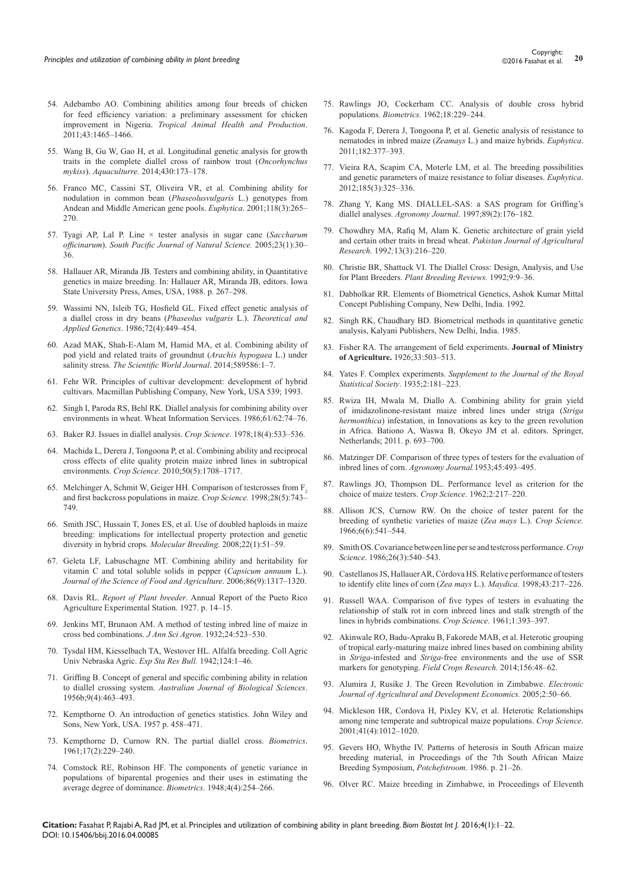- 54. [Adebambo AO. Combining abilities among four breeds of chicken](http://link.springer.com/article/10.1007%2Fs11250-011-9844-y)  [for feed efficiency variation: a preliminary assessment for chicken](http://link.springer.com/article/10.1007%2Fs11250-011-9844-y)  improvement in Nigeria. *[Tropical Animal Health and Production](http://link.springer.com/article/10.1007%2Fs11250-011-9844-y)*. [2011;43:1465–1466.](http://link.springer.com/article/10.1007%2Fs11250-011-9844-y)
- 55. Wang B, Gu W, Gao H, et al. Longitudinal genetic analysis for growth traits in the complete diallel cross of rainbow trout (*Oncorhynchus mykiss*). *Aquaculturre.* 2014;430:173–178.
- 56. [Franco MC, Cassini ST, Oliveira VR, et al. Combining ability for](http://link.springer.com/article/10.1023%2FA%3A1017560118666)  [nodulation in common bean \(](http://link.springer.com/article/10.1023%2FA%3A1017560118666)*Phaseolusvulgaris* L.) genotypes from [Andean and Middle American gene pools.](http://link.springer.com/article/10.1023%2FA%3A1017560118666) *Euphytica*. 2001;118(3):265– [270.](http://link.springer.com/article/10.1023%2FA%3A1017560118666)
- 57. [Tyagi AP, Lal P. Line × tester analysis in sugar cane \(](http://www.publish.csiro.au/paper/SP05006.htm)*Saccharum officinarum*). *[South Pacific Journal of Natural Science.](http://www.publish.csiro.au/paper/SP05006.htm)* 2005;23(1):30– [36.](http://www.publish.csiro.au/paper/SP05006.htm)
- 58. Hallauer AR, Miranda JB. Testers and combining ability, in Quantitative genetics in maize breeding. In: Hallauer AR, Miranda JB, editors. Iowa State University Press, Ames, USA, 1988. p. 267–298.
- 59. [Wassimi NN, Isleib TG, Hosfield GL. Fixed effect genetic analysis of](http://link.springer.com/article/10.1007%2FBF00289525)  [a diallel cross in dry beans \(](http://link.springer.com/article/10.1007%2FBF00289525)*Phaseolus vulgaris* L.). *Theoretical and Applied Genetics*[. 1986;72\(4\):449–454.](http://link.springer.com/article/10.1007%2FBF00289525)
- 60. Azad MAK, Shah-E-Alam M, Hamid MA, et al. Combining ability of pod yield and related traits of groundnut (*Arachis hypogaea* L.) under salinity stress*. The Scientific World Journal*. 2014;589586:1–7.
- 61. Fehr WR. Principles of cultivar development: development of hybrid cultivars. Macmillan Publishing Company, New York, USA 539; 1993.
- 62. Singh I, Paroda RS, Behl RK. Diallel analysis for combining ability over environments in wheat. Wheat Information Services. 1986;61/62:74–76.
- 63. [Baker RJ. Issues in diallel analysis.](https://dl.sciencesocieties.org/publications/cs/abstracts/18/4/CS0180040533) *Crop Science*. 1978;18(4):533–536.
- 64. [Machida L, Derera J, Tongoona P, et al. Combining ability and reciprocal](https://dl.sciencesocieties.org/publications/cs/abstracts/50/5/1708)  [cross effects of elite quality protein maize inbred lines in subtropical](https://dl.sciencesocieties.org/publications/cs/abstracts/50/5/1708)  environments. *Crop Science*[. 2010;50\(5\):1708–1717.](https://dl.sciencesocieties.org/publications/cs/abstracts/50/5/1708)
- 65. [Melchinger A, Schmit W, Geiger HH. Comparison of testcrosses from F](http://eurekamag.com/research/001/782/001782849.php)<sub>2</sub> [and first backcross populations in maize.](http://eurekamag.com/research/001/782/001782849.php) *Crop Science.* 1998;28(5):743– [749.](http://eurekamag.com/research/001/782/001782849.php)
- 66. [Smith JSC, Hussain T, Jones ES, et al. Use of doubled haploids in maize](http://link.springer.com/article/10.1007%2Fs11032-007-9155-1)  [breeding: implications for intellectual property protection and genetic](http://link.springer.com/article/10.1007%2Fs11032-007-9155-1)  [diversity in hybrid crops.](http://link.springer.com/article/10.1007%2Fs11032-007-9155-1) *Molecular Breeding*. 2008;22(1):51–59.
- 67. [Geleta LF, Labuschagne MT. Combining ability and heritability for](http://onlinelibrary.wiley.com/doi/10.1002/jsfa.2494/abstract)  [vitamin C and total soluble solids in pepper \(](http://onlinelibrary.wiley.com/doi/10.1002/jsfa.2494/abstract)*Capsicum annuum* L.). *[Journal of the Science of Food and Agriculture](http://onlinelibrary.wiley.com/doi/10.1002/jsfa.2494/abstract)*. 2006;86(9):1317–1320.
- 68. Davis RL. *Report of Plant breeder*. Annual Report of the Pueto Rico Agriculture Experimental Station. 1927. p. 14–15.
- 69. Jenkins MT, Brunaon AM. A method of testing inbred line of maize in cross bed combinations. *J Ann Sci Agron*. 1932;24:523–530.
- 70. Tysdal HM, Kiesselbach TA, Westover HL. Alfalfa breeding. Coll Agric Univ Nebraska Agric. *Exp Sta Res Bull.* 1942;124:1–46.
- 71. [Griffing B. Concept of general and specific combining ability in relation](http://www.publish.csiro.au/paper/BI9560463.htm)  to diallel crossing system. *[Australian Journal of Biological Sciences](http://www.publish.csiro.au/paper/BI9560463.htm)*. [1956b;9\(4\):463–493.](http://www.publish.csiro.au/paper/BI9560463.htm)
- 72. Kempthorne O. An introduction of genetics statistics. John Wiley and Sons, New York, USA. 1957 p. 458–471.
- 73. Kempthorne D, Curnow RN. The partial diallel cross. *Biometrics*. 1961;17(2):229–240.
- 74. [Comstock RE, Robinson HF. The components of genetic variance in](http://www.ncbi.nlm.nih.gov/pubmed/18108899)  [populations of biparental progenies and their uses in estimating the](http://www.ncbi.nlm.nih.gov/pubmed/18108899)  [average degree of dominance.](http://www.ncbi.nlm.nih.gov/pubmed/18108899) *Biometrics*. 1948;4(4):254–266.
- 75. Rawlings JO, Cockerham CC. Analysis of double cross hybrid populations. *Biometrics.* 1962;18:229–244.
- 76. [Kagoda F, Derera J, Tongoona P, et al. Genetic analysis of resistance to](http://link.springer.com/article/10.1007%2Fs10681-011-0512-0)  [nematodes in inbred maize \(](http://link.springer.com/article/10.1007%2Fs10681-011-0512-0)*Zeamays* L.) and maize hybrids. *Euphytica*. [2011;182:377–393.](http://link.springer.com/article/10.1007%2Fs10681-011-0512-0)
- 77. [Vieira RA, Scapim CA, Moterle LM, et al. The breeding possibilities](http://link.springer.com/article/10.1007%2Fs10681-011-0454-6)  [and genetic parameters of maize resistance to foliar diseases.](http://link.springer.com/article/10.1007%2Fs10681-011-0454-6) *Euphytica*. [2012;185\(3\):325–336.](http://link.springer.com/article/10.1007%2Fs10681-011-0454-6)
- 78. [Zhang Y, Kang MS. DIALLEL-SAS: a SAS program for Griffing's](https://dl.sciencesocieties.org/publications/aj/abstracts/89/2/AJ0890020176)  diallel analyses. *Agronomy Journal*[. 1997;89\(2\):176–182.](https://dl.sciencesocieties.org/publications/aj/abstracts/89/2/AJ0890020176)
- 79. [Chowdhry MA, Rafiq M, Alam K. Genetic architecture of grain yield](http://www.cabdirect.org/abstracts/20093350649.html;jsessionid=4C28A84CE95AEA5878F2AE90EA2026B5)  [and certain other traits in bread wheat.](http://www.cabdirect.org/abstracts/20093350649.html;jsessionid=4C28A84CE95AEA5878F2AE90EA2026B5) *Pakistan Journal of Agricultural Research.* 199*2;*[13\(3\):216–220.](http://www.cabdirect.org/abstracts/20093350649.html;jsessionid=4C28A84CE95AEA5878F2AE90EA2026B5)
- 80. [Christie BR, Shattuck VI. The Diallel Cross: Design, Analysis, and Use](http://onlinelibrary.wiley.com/doi/10.1002/9780470650363.ch2/summary)  for Plant Breeders. *[Plant Breeding Reviews.](http://onlinelibrary.wiley.com/doi/10.1002/9780470650363.ch2/summary)* 1992;9:9–36.
- 81. Dabholkar RR. Elements of Biometrical Genetics, Ashok Kumar Mittal Concept Publishing Company, New Delhi, India. 1992.
- 82. Singh RK, Chaudhary BD. Biometrical methods in quantitative genetic analysis, Kalyani Publishers, New Delhi, India. 1985.
- 83. [Fisher RA. The arrangement of field experiments.](https://digital.library.adelaide.edu.au/dspace/handle/2440/15191) **Journal of Ministry of Agriculture.** [1926;33:503–513.](https://digital.library.adelaide.edu.au/dspace/handle/2440/15191)
- 84. Yates F. Complex experiments. *Supplement to the Journal of the Royal Statistical Society*. 1935;2:181–223.
- 85. Rwiza IH, Mwala M, Diallo A. Combining ability for grain yield of imidazolinone-resistant maize inbred lines under striga (*Striga hermonthica*) infestation, in [Innovations as key to the green revolution](http://link.springer.com/book/10.1007/978-90-481-2543-2)  [in Africa](http://link.springer.com/book/10.1007/978-90-481-2543-2). Bationo A, Waswa B, Okeyo JM et al. editors. Springer, Netherlands; 2011. p. 693–700.
- 86. [Matzinger DF. Comparison of three types of testers for the evaluation of](https://dl.sciencesocieties.org/publications/aj/abstracts/45/10/AJ0450100493?access=0&view=article)  [inbred lines of corn.](https://dl.sciencesocieties.org/publications/aj/abstracts/45/10/AJ0450100493?access=0&view=article) *Agronomy Journal.*1953;45:493–495.
- 87. Rawlings JO, Thompson DL. Performance level as criterion for the choice of maize testers. *Crop Science.* 1962;2:217–220.
- 88. [Allison JCS, Curnow RW. On the choice of tester parent for the](https://dl.sciencesocieties.org/publications/cs/abstracts/6/6/CS0060060541)  [breeding of synthetic varieties of maize \(](https://dl.sciencesocieties.org/publications/cs/abstracts/6/6/CS0060060541)*Zea mays* L.). *Crop Science.*  [1966;6\(6\):541–544.](https://dl.sciencesocieties.org/publications/cs/abstracts/6/6/CS0060060541)
- 89. [Smith OS. Covariance between line per se and testcross performance.](https://dl.sciencesocieties.org/publications/cs/abstracts/26/3/CS0260030540)*Crop Science*[. 1986;26\(3\):540–543.](https://dl.sciencesocieties.org/publications/cs/abstracts/26/3/CS0260030540)
- 90. Castellanos JS, Hallauer AR, Có[rdova HS. Relative performance of testers](http://lib.dr.iastate.edu/cgi/viewcontent.cgi?article=10822&context=rtd)  [to identify elite lines of corn \(](http://lib.dr.iastate.edu/cgi/viewcontent.cgi?article=10822&context=rtd)*Zea mays* L.). *Maydica.* 1998;43:217–226.
- 91. Russell WAA. Comparison of five types of testers in evaluating the relationship of stalk rot in corn inbreed lines and stalk strength of the lines in hybrids combinations. *Crop Science*. 1961;1:393–397.
- 92. [Akinwale RO, Badu-Apraku B, Fakorede MAB, et al. Heterotic grouping](http://old.ibpdev.net/heterotic-grouping-tropical-early-maturing-maize-inbred-lines-based-combining-ability-striga-infeste)  [of tropical early-maturing maize inbred lines based on combining ability](http://old.ibpdev.net/heterotic-grouping-tropical-early-maturing-maize-inbred-lines-based-combining-ability-striga-infeste)  in *Striga*-infested and *Striga*[-free environments and the use of SSR](http://old.ibpdev.net/heterotic-grouping-tropical-early-maturing-maize-inbred-lines-based-combining-ability-striga-infeste)  [markers for genotyping.](http://old.ibpdev.net/heterotic-grouping-tropical-early-maturing-maize-inbred-lines-based-combining-ability-striga-infeste) *Field Crops Research.* 2014;156:48–62.
- 93. Alumira J, Rusike J. The Green Revolution in Zimbabwe. *Electronic Journal of Agricultural and Development Economics.* 2005;2:50–66.
- 94. [Mickleson HR, Cordova H, Pixley KV, et al. Heterotic Relationships](https://dl.sciencesocieties.org/publications/cs/abstracts/41/4/1012)  [among nine temperate and subtropical maize populations.](https://dl.sciencesocieties.org/publications/cs/abstracts/41/4/1012) *Crop Science*. [2001;41\(4\):1012–1020.](https://dl.sciencesocieties.org/publications/cs/abstracts/41/4/1012)
- 95. Gevers HO, Whythe IV. Patterns of heterosis in South African maize breeding material, in Proceedings of the 7th South African Maize Breeding Symposium, *Potchefstroom*. 1986. p. 21–26.
- 96. Olver RC. Maize breeding in Zimbabwe, in Proceedings of Eleventh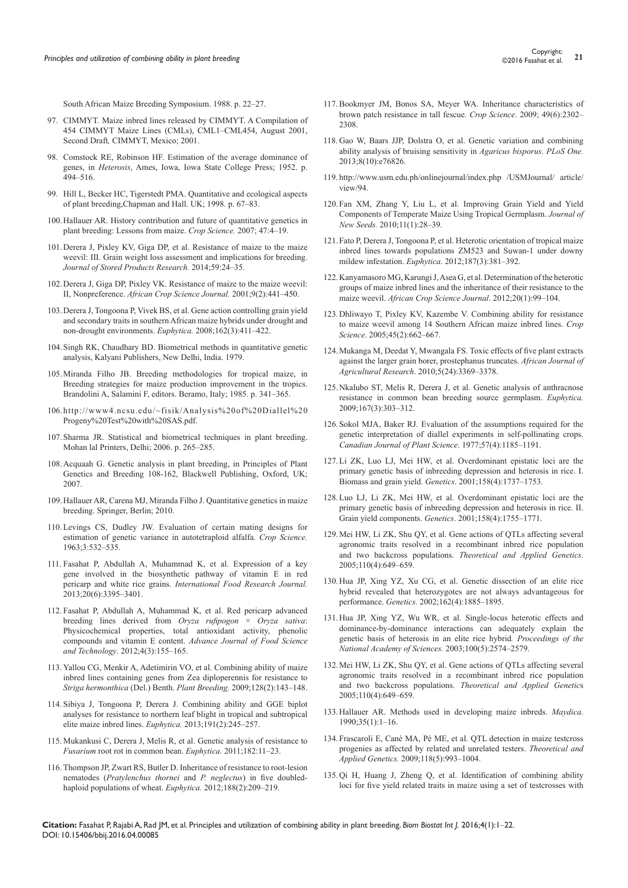South African Maize Breeding Symposium. 1988. p. 22–27.

- 97. CIMMYT. Maize inbred lines released by CIMMYT. A Compilation of 454 CIMMYT Maize Lines (CMLs), CML1–CML454, August 2001, Second Draft*,* CIMMYT, Mexico; 2001.
- 98. Comstock RE, Robinson HF. Estimation of the average dominance of genes, in *Heterosis*, Ames, Iowa, Iowa State College Press; 1952. p. 494–516.
- 99. Hill L, Becker HC, Tigerstedt PMA. Quantitative and ecological aspects of plant breeding,Chapman and Hall. UK; 1998. p. 67–83.
- 100.[Hallauer AR. History contribution and future of quantitative genetics in](http://agris.fao.org/agris-search/search.do?recordID=US201300869901)  [plant breeding: Lessons from maize.](http://agris.fao.org/agris-search/search.do?recordID=US201300869901) *Crop Science.* 2007; 47:4–19.
- 101.[Derera J, Pixley KV, Giga DP, et al. Resistance of maize to the maize](https://www.researchgate.net/publication/262342193_Resistance_of_maize_to_the_maize_weevil_III_Grain_weight_loss_assessment_and_implications_for_breeding)  [weevil: III. Grain weight loss assessment and implications for breeding.](https://www.researchgate.net/publication/262342193_Resistance_of_maize_to_the_maize_weevil_III_Grain_weight_loss_assessment_and_implications_for_breeding)  *[Journal of Stored Products Research.](https://www.researchgate.net/publication/262342193_Resistance_of_maize_to_the_maize_weevil_III_Grain_weight_loss_assessment_and_implications_for_breeding)* 2014;59:24–35.
- 102.[Derera J, Giga DP, Pixley VK. Resistance of maize to the maize weevil:](http://www.ajol.info/index.php/acsj/article/view/27615)  II, Nonpreference. *[African Crop Science Journal.](http://www.ajol.info/index.php/acsj/article/view/27615)* 2001;9(2):441–450.
- 103.[Derera J, Tongoona P, Vivek BS, et al. Gene action controlling grain yield](http://link.springer.com/article/10.1007%2Fs10681-007-9582-4)  [and secondary traits in southern African maize hybrids under drought and](http://link.springer.com/article/10.1007%2Fs10681-007-9582-4)  [non-drought environments.](http://link.springer.com/article/10.1007%2Fs10681-007-9582-4) *Euphytica.* 2008;162(3):411–422.
- 104.Singh RK, Chaudhary BD. Biometrical methods in quantitative genetic analysis, Kalyani Publishers, New Delhi, India. 1979.
- 105.Miranda Filho JB. Breeding methodologies for tropical maize, in Breeding strategies for maize production improvement in the tropics. Brandolini A, Salamini F, editors. Beramo, Italy; 1985. p. 341–365.
- 106.[http://www4.ncsu.edu/~fisik/Analysis%20of%20Diallel%20](http://www4.ncsu.edu/~fisik/Analysis%20of%20Diallel%20Progeny%20Test%20with%20SA​S.pdf) [Progeny%20Test%20with%20SAS.pdf](http://www4.ncsu.edu/~fisik/Analysis%20of%20Diallel%20Progeny%20Test%20with%20SA​S.pdf).
- 107.Sharma JR. Statistical and biometrical techniques in plant breeding. Mohan lal Printers, Delhi; 2006. p. 265–285.
- 108.Acquaah G. Genetic analysis in plant breeding, in Principles of Plant Genetics and Breeding 108-162, Blackwell Publishing, Oxford, UK; 2007.
- 109.Hallauer AR, Carena MJ, Miranda Filho J. Quantitative genetics in maize breeding. Springer, Berlin; 2010.
- 110. [Levings CS, Dudley JW. Evaluation of certain mating designs for](https://dl.sciencesocieties.org/publications/cs/abstracts/3/6/CS0030060532?access=0&view=article)  [estimation of genetic variance in autotetraploid alfalfa.](https://dl.sciencesocieties.org/publications/cs/abstracts/3/6/CS0030060532?access=0&view=article) *Crop Science.* [1963;3:532–535.](https://dl.sciencesocieties.org/publications/cs/abstracts/3/6/CS0030060532?access=0&view=article)
- 111. [Fasahat P, Abdullah A, Muhammad K, et al. Expression of a key](http://www.ifrj.upm.edu.my/20%20(06)%202013/60%20IFRJ%2020%20(06)%202013%20Rohman%20Parviz%20050.pdf)  [gene involved in the biosynthetic pathway of vitamin E in red](http://www.ifrj.upm.edu.my/20%20(06)%202013/60%20IFRJ%2020%20(06)%202013%20Rohman%20Parviz%20050.pdf)  pericarp and white rice grains. *[International Food Research Journal.](http://www.ifrj.upm.edu.my/20%20(06)%202013/60%20IFRJ%2020%20(06)%202013%20Rohman%20Parviz%20050.pdf)* [2013;20\(6\):3395–3401.](http://www.ifrj.upm.edu.my/20%20(06)%202013/60%20IFRJ%2020%20(06)%202013%20Rohman%20Parviz%20050.pdf)
- 112. [Fasahat P, Abdullah A, Muhammad K, et al. Red pericarp advanced](http://maxwellsci.com/print/ajfst/v4-155-165.pdf)  [breeding lines derived from](http://maxwellsci.com/print/ajfst/v4-155-165.pdf) *Oryza rufipogon* × *Oryza sativa*: [Physicochemical properties, total antioxidant activity, phenolic](http://maxwellsci.com/print/ajfst/v4-155-165.pdf)  [compounds and vitamin E content.](http://maxwellsci.com/print/ajfst/v4-155-165.pdf) *Advance Journal of Food Science and Technology*[. 2012;4\(3\):155–165.](http://maxwellsci.com/print/ajfst/v4-155-165.pdf)
- 113. [Yallou CG, Menkir A, Adetimirin VO, et al. Combining ability of maize](http://onlinelibrary.wiley.com/doi/10.1111/j.1439-0523.2008.01583.x/abstract)  [inbred lines containing genes from Zea diploperennis for resistance to](http://onlinelibrary.wiley.com/doi/10.1111/j.1439-0523.2008.01583.x/abstract)  *Striga hermonthica* (Del.) Benth. *Plant Breeding.* [2009;128\(2\):143–148.](http://onlinelibrary.wiley.com/doi/10.1111/j.1439-0523.2008.01583.x/abstract)
- 114. [Sibiya J, Tongoona P, Derera J. Combining ability and GGE biplot](http://link.springer.com/article/10.1007%2Fs10681-012-0806-x)  [analyses for resistance to northern leaf blight in tropical and subtropical](http://link.springer.com/article/10.1007%2Fs10681-012-0806-x)  [elite maize inbred lines.](http://link.springer.com/article/10.1007%2Fs10681-012-0806-x) *Euphytica.* 2013;191(2):245–257.
- 115. [Mukankusi C, Derera J, Melis R, et al. Genetic analysis of resistance to](http://link.springer.com/article/10.1007%2Fs10681-011-0413-2)  *Fusarium* [root rot in common bean.](http://link.springer.com/article/10.1007%2Fs10681-011-0413-2) *Euphytica.* 2011;182:11–23.
- 116. [Thompson JP, Zwart RS, Butler D. Inheritance of resistance to root-lesion](http://link.springer.com/article/10.1007%2Fs10681-012-0689-x)  nematodes (*[Pratylenchus thornei](http://link.springer.com/article/10.1007%2Fs10681-012-0689-x)* and *P. neglectus*) in five doubled[haploid populations of wheat.](http://link.springer.com/article/10.1007%2Fs10681-012-0689-x) *Euphytica.* 2012;188(2):209–219.
- 117.[Bookmyer JM, Bonos SA, Meyer WA. Inheritance characteristics of](https://www.animalsciencepublications.org/publications/cs/abstracts/49/6/2302)  [brown patch resistance in tall fescue.](https://www.animalsciencepublications.org/publications/cs/abstracts/49/6/2302) *Crop Science*. 2009; 49(6):2302– [2308.](https://www.animalsciencepublications.org/publications/cs/abstracts/49/6/2302)
- 118. [Gao W, Baars JJP, Dolstra O, et al. Genetic variation and combining](http://www.ncbi.nlm.nih.gov/pubmed/24116171)  [ability analysis of bruising sensitivity in](http://www.ncbi.nlm.nih.gov/pubmed/24116171) *Agaricus bisporus*. *PLoS One.* [2013;8\(10\):e76826.](http://www.ncbi.nlm.nih.gov/pubmed/24116171)
- 119. [http://www.usm.edu.ph/onlinejournal/index.php /USMJournal/ article/](http://www.usm.edu.ph/onlinejournal/index.php%20/USMJournal/%20article/view/94) [view/94](http://www.usm.edu.ph/onlinejournal/index.php%20/USMJournal/%20article/view/94).
- 120.Fan XM, Zhang Y, Liu L, et al. Improving Grain Yield and Yield Components of Temperate Maize Using Tropical Germplasm. *Journal of New Seeds.* 2010;11(1):28–39.
- 121.Fato P, Derera J, Tongoona P, et al. Heterotic orientation of tropical maize inbred lines towards populations ZM523 and Suwan-1 under downy mildew infestation. *Euphytica*. 2012;187(3):381–392.
- 122.[Kanyamasoro MG, Karungi J, Asea G, et al. Determination of the heterotic](http://www.ajol.info/index.php/acsj/article/view/78773)  [groups of maize inbred lines and the inheritance of their resistance to the](http://www.ajol.info/index.php/acsj/article/view/78773)  maize weevil. *[African Crop Science Journal](http://www.ajol.info/index.php/acsj/article/view/78773)*. 2012;20(1):99–104.
- 123.[Dhliwayo T, Pixley KV, Kazembe V. Combining ability for resistance](https://dl.sciencesocieties.org/publications/cs/abstracts/45/2/0662)  [to maize weevil among 14 Southern African maize inbred lines.](https://dl.sciencesocieties.org/publications/cs/abstracts/45/2/0662) *Crop Science*[. 2005;45\(2\):662–667.](https://dl.sciencesocieties.org/publications/cs/abstracts/45/2/0662)
- 124.[Mukanga M, Deedat Y, Mwangala FS. Toxic effects of five plant extracts](http://www.academicjournals.org/article/article1380801124_Mukanga%20et%20al.pdf)  [against the larger grain borer,](http://www.academicjournals.org/article/article1380801124_Mukanga%20et%20al.pdf) prostephanus truncates. *African Journal of Agricultural Research*[. 2010;5\(24\):3369–3378.](http://www.academicjournals.org/article/article1380801124_Mukanga%20et%20al.pdf)
- 125.[Nkalubo ST, Melis R, Derera J, et al. Genetic analysis of anthracnose](http://link.springer.com/article/10.1007%2Fs10681-008-9873-4)  [resistance in common bean breeding source germplasm.](http://link.springer.com/article/10.1007%2Fs10681-008-9873-4) *Euphytica.* [2009;167\(3\):303–312.](http://link.springer.com/article/10.1007%2Fs10681-008-9873-4)
- 126.[Sokol MJA, Baker RJ. Evaluation of the assumptions required for the](http://eprints.icrisat.ac.in/11639/)  [genetic interpretation of diallel experiments in self-pollinating crops.](http://eprints.icrisat.ac.in/11639/) *[Canadian Journal of Plant Science](http://eprints.icrisat.ac.in/11639/)*. 1977;57(4):1185–1191.
- 127.[Li ZK, Luo LJ, Mei HW, et al. Overdominant epistatic loci are the](http://www.ncbi.nlm.nih.gov/pubmed/11514459)  [primary genetic basis of inbreeding depression and heterosis in rice. I.](http://www.ncbi.nlm.nih.gov/pubmed/11514459)  Biomass and grain yield. *Genetics*[. 2001;158\(4\):1737–1753.](http://www.ncbi.nlm.nih.gov/pubmed/11514459)
- 128.[Luo LJ, Li ZK, Mei HW, et al. Overdominant epistatic loci are the](http://www.ncbi.nlm.nih.gov/pubmed/11514460)  [primary genetic basis of inbreeding depression and heterosis in rice. II.](http://www.ncbi.nlm.nih.gov/pubmed/11514460)  Grain yield components. *Genetics*[. 2001;158\(4\):1755–1771.](http://www.ncbi.nlm.nih.gov/pubmed/11514460)
- 129.[Mei HW, Li ZK, Shu QY, et al. Gene actions of QTLs affecting several](http://link.springer.com/article/10.1007%2Fs00122-004-1890-7)  [agronomic traits resolved in a recombinant inbred rice population](http://link.springer.com/article/10.1007%2Fs00122-004-1890-7)  and two backcross populations. *[Theoretical and Applied Genetics](http://link.springer.com/article/10.1007%2Fs00122-004-1890-7)*. [2005;110\(4\):649–659.](http://link.springer.com/article/10.1007%2Fs00122-004-1890-7)
- 130.[Hua JP, Xing YZ, Xu CG, et al. Genetic dissection of an elite rice](http://www.ncbi.nlm.nih.gov/pubmed/12524357)  [hybrid revealed that heterozygotes are not always advantageous for](http://www.ncbi.nlm.nih.gov/pubmed/12524357)  performance. *Genetics.* [2002;162\(4\):1885–1895.](http://www.ncbi.nlm.nih.gov/pubmed/12524357)
- 131.[Hua JP, Xing YZ, Wu WR, et al. Single-locus heterotic effects and](http://www.ncbi.nlm.nih.gov/pubmed/12604771/)  [dominance-by-dominance interactions can adequately explain the](http://www.ncbi.nlm.nih.gov/pubmed/12604771/)  [genetic basis of heterosis in an elite rice hybrid](http://www.ncbi.nlm.nih.gov/pubmed/12604771/)*. Proceedings of the [National Academy of Sciences.](http://www.ncbi.nlm.nih.gov/pubmed/12604771/)* 2003;100(5):2574–2579.
- 132.[Mei HW, Li ZK, Shu QY, et al. Gene actions of QTLs affecting several](http://link.springer.com/article/10.1007%2Fs00122-004-1890-7)  [agronomic traits resolved in a recombinant inbred rice population](http://link.springer.com/article/10.1007%2Fs00122-004-1890-7)  and two backcross populations. *[Theoretical and Applied Genetic](http://link.springer.com/article/10.1007%2Fs00122-004-1890-7)*s [2005;110\(4\):649–659.](http://link.springer.com/article/10.1007%2Fs00122-004-1890-7)
- 133.[Hallauer AR. Methods used in developing maize inbreds.](http://www.cabdirect.org/abstracts/19901612711.html;jsessionid=93AC5074B00C27E34576B5CB60AA38EB) *Maydica*. [1990;35\(1\):1–16.](http://www.cabdirect.org/abstracts/19901612711.html;jsessionid=93AC5074B00C27E34576B5CB60AA38EB)
- 134.[Frascaroli E, Canè MA, Pè ME, et al. QTL detection in maize testcross](http://link.springer.com/article/10.1007%2Fs00122-008-0956-3)  [progenies as affected by related and unrelated testers.](http://link.springer.com/article/10.1007%2Fs00122-008-0956-3) *Theoretical and Applied Genetics.* [2009;118\(5\):993–1004.](http://link.springer.com/article/10.1007%2Fs00122-008-0956-3)
- 135.[Qi H, Huang J, Zheng Q, et al. Identification of combining ability](http://link.springer.com/article/10.1007/s00122-012-1985-5)  [loci for five yield related traits in maize using a set of testcrosses with](http://link.springer.com/article/10.1007/s00122-012-1985-5)